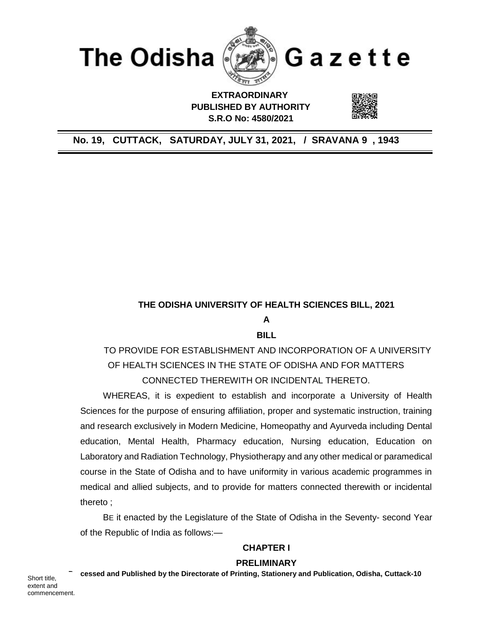

 **EXTRAORDINARY PUBLISHED BY AUTHORITY S.R.O No: 4580/2021**

## **No. 19, CUTTACK, SATURDAY, JULY 31, 2021, / SRAVANA 9 , 1943**

### **THE ODISHA UNIVERSITY OF HEALTH SCIENCES BILL, 2021**

**A**

**BILL**

TO PROVIDE FOR ESTABLISHMENT AND INCORPORATION OF A UNIVERSITY OF HEALTH SCIENCES IN THE STATE OF ODISHA AND FOR MATTERS CONNECTED THEREWITH OR INCIDENTAL THERETO.

WHEREAS, it is expedient to establish and incorporate a University of Health Sciences for the purpose of ensuring affiliation, proper and systematic instruction, training and research exclusively in Modern Medicine, Homeopathy and Ayurveda including Dental education, Mental Health, Pharmacy education, Nursing education, Education on Laboratory and Radiation Technology, Physiotherapy and any other medical or paramedical course in the State of Odisha and to have uniformity in various academic programmes in medical and allied subjects, and to provide for matters connected therewith or incidental thereto ;

BE it enacted by the Legislature of the State of Odisha in the Seventy- second Year of the Republic of India as follows:—

## **CHAPTER I**

### **PRELIMINARY**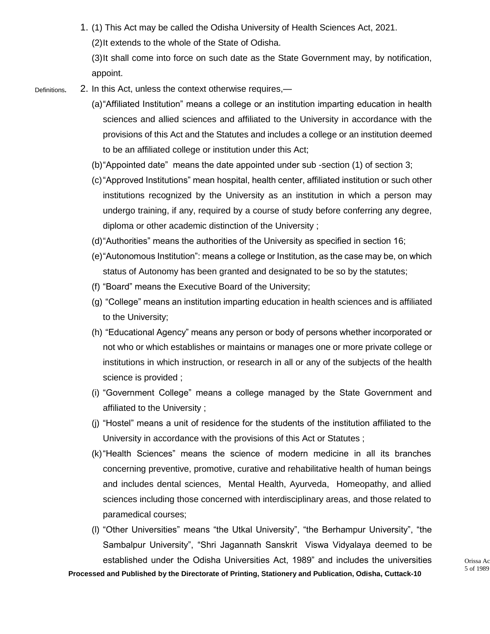1. (1) This Act may be called the Odisha University of Health Sciences Act, 2021. (2)It extends to the whole of the State of Odisha.

(3)It shall come into force on such date as the State Government may, by notification, appoint.

- 2. In this Act, unless the context otherwise requires,— Definitions**.**
	- (a)"Affiliated Institution" means a college or an institution imparting education in health sciences and allied sciences and affiliated to the University in accordance with the provisions of this Act and the Statutes and includes a college or an institution deemed to be an affiliated college or institution under this Act;
	- (b)"Appointed date" means the date appointed under sub -section (1) of section 3;
	- (c)"Approved Institutions" mean hospital, health center, affiliated institution or such other institutions recognized by the University as an institution in which a person may undergo training, if any, required by a course of study before conferring any degree, diploma or other academic distinction of the University ;
	- (d)"Authorities" means the authorities of the University as specified in section 16;
	- (e)"Autonomous Institution": means a college or Institution, as the case may be, on which status of Autonomy has been granted and designated to be so by the statutes;
	- (f) "Board" means the Executive Board of the University;
	- (g) "College" means an institution imparting education in health sciences and is affiliated to the University;
	- (h) "Educational Agency" means any person or body of persons whether incorporated or not who or which establishes or maintains or manages one or more private college or institutions in which instruction, or research in all or any of the subjects of the health science is provided ;
	- (i) "Government College" means a college managed by the State Government and affiliated to the University ;
	- (j) "Hostel" means a unit of residence for the students of the institution affiliated to the University in accordance with the provisions of this Act or Statutes ;
	- (k)"Health Sciences" means the science of modern medicine in all its branches concerning preventive, promotive, curative and rehabilitative health of human beings and includes dental sciences, Mental Health, Ayurveda, Homeopathy, and allied sciences including those concerned with interdisciplinary areas, and those related to paramedical courses;
	- (l) "Other Universities" means "the Utkal University", "the Berhampur University", "the Sambalpur University", "Shri Jagannath Sanskrit Viswa Vidyalaya deemed to be established under the Odisha Universities Act, 1989" and includes the universities  $\frac{1}{100}$  Orissa Act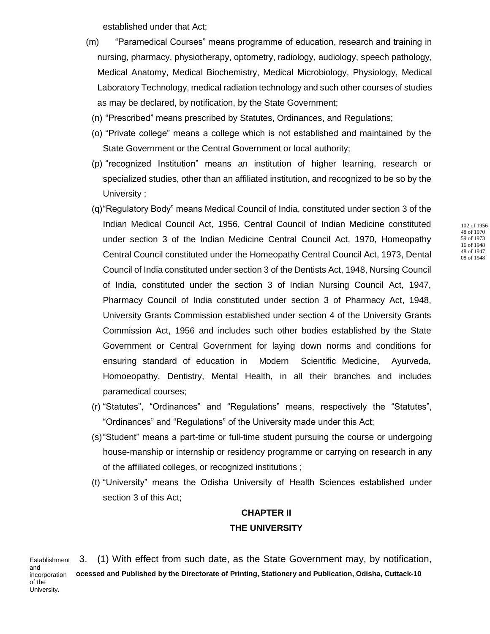established under that Act;

- (m) "Paramedical Courses" means programme of education, research and training in nursing, pharmacy, physiotherapy, optometry, radiology, audiology, speech pathology, Medical Anatomy, Medical Biochemistry, Medical Microbiology, Physiology, Medical Laboratory Technology, medical radiation technology and such other courses of studies as may be declared, by notification, by the State Government;
	- (n) "Prescribed" means prescribed by Statutes, Ordinances, and Regulations;
	- (o) "Private college" means a college which is not established and maintained by the State Government or the Central Government or local authority;
	- (p) "recognized Institution" means an institution of higher learning, research or specialized studies, other than an affiliated institution, and recognized to be so by the University ;
- (q)"Regulatory Body" means Medical Council of India, constituted under section 3 of the Indian Medical Council Act, 1956, Central Council of Indian Medicine constituted under section 3 of the Indian Medicine Central Council Act, 1970, Homeopathy Central Council constituted under the Homeopathy Central Council Act, 1973, Dental Council of India constituted under section 3 of the Dentists Act, 1948, Nursing Council of India, constituted under the section 3 of Indian Nursing Council Act, 1947, Pharmacy Council of India constituted under section 3 of Pharmacy Act, 1948, University Grants Commission established under section 4 of the University Grants Commission Act, 1956 and includes such other bodies established by the State Government or Central Government for laying down norms and conditions for ensuring standard of education in Modern Scientific Medicine, Ayurveda, Homoeopathy, Dentistry, Mental Health, in all their branches and includes paramedical courses;
- (r) "Statutes", "Ordinances" and "Regulations" means, respectively the "Statutes", "Ordinances" and "Regulations" of the University made under this Act;
- (s)"Student" means a part-time or full-time student pursuing the course or undergoing house-manship or internship or residency programme or carrying on research in any of the affiliated colleges, or recognized institutions ;
- (t) "University" means the Odisha University of Health Sciences established under section 3 of this Act;

# **CHAPTER II THE UNIVERSITY**

**Processed and Published by the Directorate of Printing, Stationery and Publication, Odisha, Cuttack-10** 3. (1) With effect from such date, as the State Government may, by notification, Establishment and incorporation of the University**.**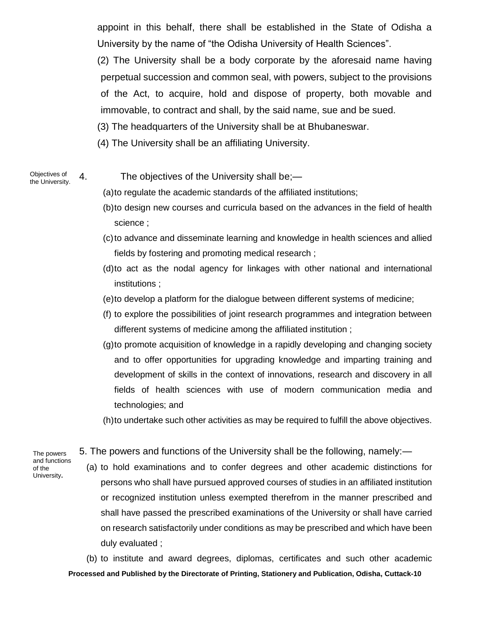appoint in this behalf, there shall be established in the State of Odisha a University by the name of "the Odisha University of Health Sciences".

(2) The University shall be a body corporate by the aforesaid name having perpetual succession and common seal, with powers, subject to the provisions of the Act, to acquire, hold and dispose of property, both movable and immovable, to contract and shall, by the said name, sue and be sued.

(3) The headquarters of the University shall be at Bhubaneswar.

(4) The University shall be an affiliating University.

Objectives of the University.

4. The objectives of the University shall be;—

(a)to regulate the academic standards of the affiliated institutions;

- (b)to design new courses and curricula based on the advances in the field of health science ;
- (c)to advance and disseminate learning and knowledge in health sciences and allied fields by fostering and promoting medical research ;
- (d)to act as the nodal agency for linkages with other national and international institutions ;
- (e)to develop a platform for the dialogue between different systems of medicine;
- (f) to explore the possibilities of joint research programmes and integration between different systems of medicine among the affiliated institution ;
- (g)to promote acquisition of knowledge in a rapidly developing and changing society and to offer opportunities for upgrading knowledge and imparting training and development of skills in the context of innovations, research and discovery in all fields of health sciences with use of modern communication media and technologies; and

(h)to undertake such other activities as may be required to fulfill the above objectives.

The powers and functions of the University**.**

5. The powers and functions of the University shall be the following, namely:—

(a) to hold examinations and to confer degrees and other academic distinctions for persons who shall have pursued approved courses of studies in an affiliated institution or recognized institution unless exempted therefrom in the manner prescribed and shall have passed the prescribed examinations of the University or shall have carried on research satisfactorily under conditions as may be prescribed and which have been duly evaluated ;

**Processed and Published by the Directorate of Printing, Stationery and Publication, Odisha, Cuttack-10** (b) to institute and award degrees, diplomas, certificates and such other academic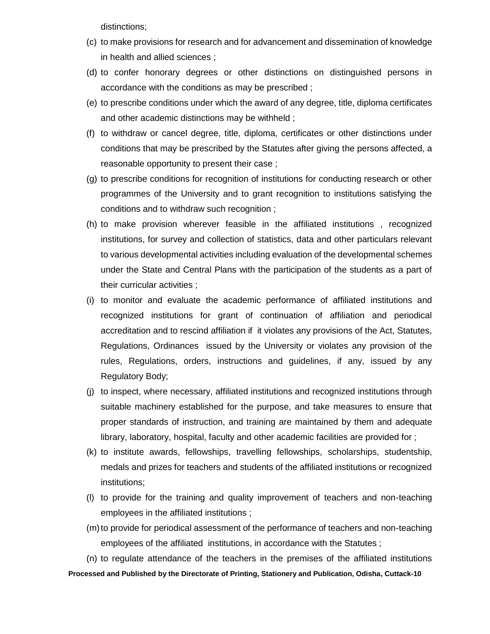distinctions;

- (c) to make provisions for research and for advancement and dissemination of knowledge in health and allied sciences ;
- (d) to confer honorary degrees or other distinctions on distinguished persons in accordance with the conditions as may be prescribed ;
- (e) to prescribe conditions under which the award of any degree, title, diploma certificates and other academic distinctions may be withheld ;
- (f) to withdraw or cancel degree, title, diploma, certificates or other distinctions under conditions that may be prescribed by the Statutes after giving the persons affected, a reasonable opportunity to present their case ;
- (g) to prescribe conditions for recognition of institutions for conducting research or other programmes of the University and to grant recognition to institutions satisfying the conditions and to withdraw such recognition ;
- (h) to make provision wherever feasible in the affiliated institutions , recognized institutions, for survey and collection of statistics, data and other particulars relevant to various developmental activities including evaluation of the developmental schemes under the State and Central Plans with the participation of the students as a part of their curricular activities ;
- (i) to monitor and evaluate the academic performance of affiliated institutions and recognized institutions for grant of continuation of affiliation and periodical accreditation and to rescind affiliation if it violates any provisions of the Act, Statutes, Regulations, Ordinances issued by the University or violates any provision of the rules, Regulations, orders, instructions and guidelines, if any, issued by any Regulatory Body;
- (j) to inspect, where necessary, affiliated institutions and recognized institutions through suitable machinery established for the purpose, and take measures to ensure that proper standards of instruction, and training are maintained by them and adequate library, laboratory, hospital, faculty and other academic facilities are provided for ;
- (k) to institute awards, fellowships, travelling fellowships, scholarships, studentship, medals and prizes for teachers and students of the affiliated institutions or recognized institutions;
- (l) to provide for the training and quality improvement of teachers and non-teaching employees in the affiliated institutions ;
- (m)to provide for periodical assessment of the performance of teachers and non-teaching employees of the affiliated institutions, in accordance with the Statutes ;

**Processed and Published by the Directorate of Printing, Stationery and Publication, Odisha, Cuttack-10** (n) to regulate attendance of the teachers in the premises of the affiliated institutions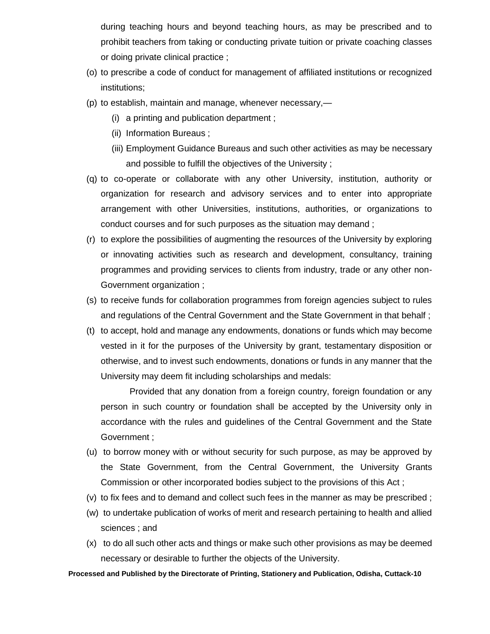during teaching hours and beyond teaching hours, as may be prescribed and to prohibit teachers from taking or conducting private tuition or private coaching classes or doing private clinical practice ;

- (o) to prescribe a code of conduct for management of affiliated institutions or recognized institutions;
- (p) to establish, maintain and manage, whenever necessary,—
	- (i) a printing and publication department ;
	- (ii) Information Bureaus ;
	- (iii) Employment Guidance Bureaus and such other activities as may be necessary and possible to fulfill the objectives of the University ;
- (q) to co-operate or collaborate with any other University, institution, authority or organization for research and advisory services and to enter into appropriate arrangement with other Universities, institutions, authorities, or organizations to conduct courses and for such purposes as the situation may demand ;
- (r) to explore the possibilities of augmenting the resources of the University by exploring or innovating activities such as research and development, consultancy, training programmes and providing services to clients from industry, trade or any other non-Government organization ;
- (s) to receive funds for collaboration programmes from foreign agencies subject to rules and regulations of the Central Government and the State Government in that behalf ;
- (t) to accept, hold and manage any endowments, donations or funds which may become vested in it for the purposes of the University by grant, testamentary disposition or otherwise, and to invest such endowments, donations or funds in any manner that the University may deem fit including scholarships and medals:

Provided that any donation from a foreign country, foreign foundation or any person in such country or foundation shall be accepted by the University only in accordance with the rules and guidelines of the Central Government and the State Government ;

- (u) to borrow money with or without security for such purpose, as may be approved by the State Government, from the Central Government, the University Grants Commission or other incorporated bodies subject to the provisions of this Act ;
- (v) to fix fees and to demand and collect such fees in the manner as may be prescribed ;
- (w) to undertake publication of works of merit and research pertaining to health and allied sciences ; and
- (x) to do all such other acts and things or make such other provisions as may be deemed necessary or desirable to further the objects of the University.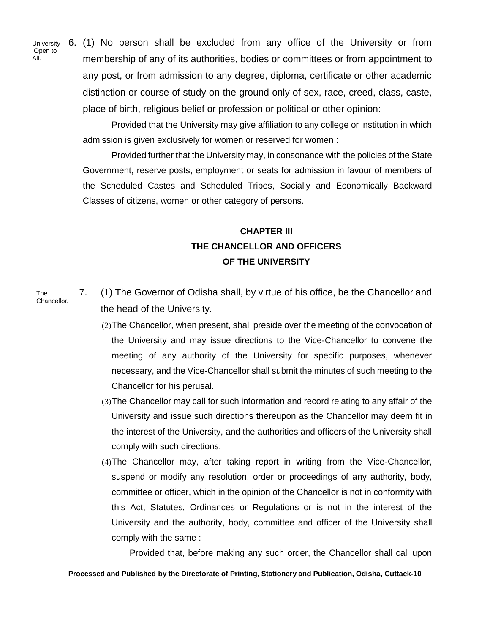University Open to All**.**

6. (1) No person shall be excluded from any office of the University or from membership of any of its authorities, bodies or committees or from appointment to any post, or from admission to any degree, diploma, certificate or other academic distinction or course of study on the ground only of sex, race, creed, class, caste, place of birth, religious belief or profession or political or other opinion:

Provided that the University may give affiliation to any college or institution in which admission is given exclusively for women or reserved for women :

Provided further that the University may, in consonance with the policies of the State Government, reserve posts, employment or seats for admission in favour of members of the Scheduled Castes and Scheduled Tribes, Socially and Economically Backward Classes of citizens, women or other category of persons.

# **CHAPTER III THE CHANCELLOR AND OFFICERS OF THE UNIVERSITY**

The Chancellor**.** 7. (1) The Governor of Odisha shall, by virtue of his office, be the Chancellor and the head of the University.

- (2)The Chancellor, when present, shall preside over the meeting of the convocation of the University and may issue directions to the Vice-Chancellor to convene the meeting of any authority of the University for specific purposes, whenever necessary, and the Vice-Chancellor shall submit the minutes of such meeting to the Chancellor for his perusal.
- (3)The Chancellor may call for such information and record relating to any affair of the University and issue such directions thereupon as the Chancellor may deem fit in the interest of the University, and the authorities and officers of the University shall comply with such directions.
- (4)The Chancellor may, after taking report in writing from the Vice-Chancellor, suspend or modify any resolution, order or proceedings of any authority, body, committee or officer, which in the opinion of the Chancellor is not in conformity with this Act, Statutes, Ordinances or Regulations or is not in the interest of the University and the authority, body, committee and officer of the University shall comply with the same :

Provided that, before making any such order, the Chancellor shall call upon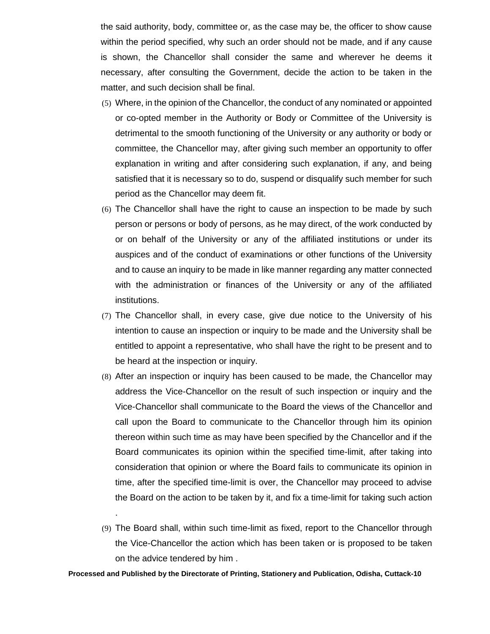the said authority, body, committee or, as the case may be, the officer to show cause within the period specified, why such an order should not be made, and if any cause is shown, the Chancellor shall consider the same and wherever he deems it necessary, after consulting the Government, decide the action to be taken in the matter, and such decision shall be final.

- (5) Where, in the opinion of the Chancellor, the conduct of any nominated or appointed or co-opted member in the Authority or Body or Committee of the University is detrimental to the smooth functioning of the University or any authority or body or committee, the Chancellor may, after giving such member an opportunity to offer explanation in writing and after considering such explanation, if any, and being satisfied that it is necessary so to do, suspend or disqualify such member for such period as the Chancellor may deem fit.
- (6) The Chancellor shall have the right to cause an inspection to be made by such person or persons or body of persons, as he may direct, of the work conducted by or on behalf of the University or any of the affiliated institutions or under its auspices and of the conduct of examinations or other functions of the University and to cause an inquiry to be made in like manner regarding any matter connected with the administration or finances of the University or any of the affiliated institutions.
- (7) The Chancellor shall, in every case, give due notice to the University of his intention to cause an inspection or inquiry to be made and the University shall be entitled to appoint a representative, who shall have the right to be present and to be heard at the inspection or inquiry.
- (8) After an inspection or inquiry has been caused to be made, the Chancellor may address the Vice-Chancellor on the result of such inspection or inquiry and the Vice-Chancellor shall communicate to the Board the views of the Chancellor and call upon the Board to communicate to the Chancellor through him its opinion thereon within such time as may have been specified by the Chancellor and if the Board communicates its opinion within the specified time-limit, after taking into consideration that opinion or where the Board fails to communicate its opinion in time, after the specified time-limit is over, the Chancellor may proceed to advise the Board on the action to be taken by it, and fix a time-limit for taking such action
- (9) The Board shall, within such time-limit as fixed, report to the Chancellor through the Vice-Chancellor the action which has been taken or is proposed to be taken on the advice tendered by him .

**Processed and Published by the Directorate of Printing, Stationery and Publication, Odisha, Cuttack-10**

.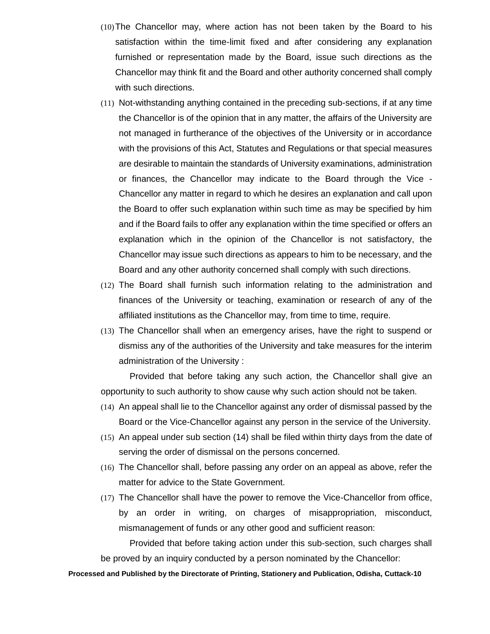- (10)The Chancellor may, where action has not been taken by the Board to his satisfaction within the time-limit fixed and after considering any explanation furnished or representation made by the Board, issue such directions as the Chancellor may think fit and the Board and other authority concerned shall comply with such directions.
- (11) Not-withstanding anything contained in the preceding sub-sections, if at any time the Chancellor is of the opinion that in any matter, the affairs of the University are not managed in furtherance of the objectives of the University or in accordance with the provisions of this Act, Statutes and Regulations or that special measures are desirable to maintain the standards of University examinations, administration or finances, the Chancellor may indicate to the Board through the Vice - Chancellor any matter in regard to which he desires an explanation and call upon the Board to offer such explanation within such time as may be specified by him and if the Board fails to offer any explanation within the time specified or offers an explanation which in the opinion of the Chancellor is not satisfactory, the Chancellor may issue such directions as appears to him to be necessary, and the Board and any other authority concerned shall comply with such directions.
- (12) The Board shall furnish such information relating to the administration and finances of the University or teaching, examination or research of any of the affiliated institutions as the Chancellor may, from time to time, require.
- (13) The Chancellor shall when an emergency arises, have the right to suspend or dismiss any of the authorities of the University and take measures for the interim administration of the University :

Provided that before taking any such action, the Chancellor shall give an opportunity to such authority to show cause why such action should not be taken.

- (14) An appeal shall lie to the Chancellor against any order of dismissal passed by the Board or the Vice-Chancellor against any person in the service of the University.
- (15) An appeal under sub section (14) shall be filed within thirty days from the date of serving the order of dismissal on the persons concerned.
- (16) The Chancellor shall, before passing any order on an appeal as above, refer the matter for advice to the State Government.
- (17) The Chancellor shall have the power to remove the Vice-Chancellor from office, by an order in writing, on charges of misappropriation, misconduct, mismanagement of funds or any other good and sufficient reason:

Provided that before taking action under this sub-section, such charges shall be proved by an inquiry conducted by a person nominated by the Chancellor: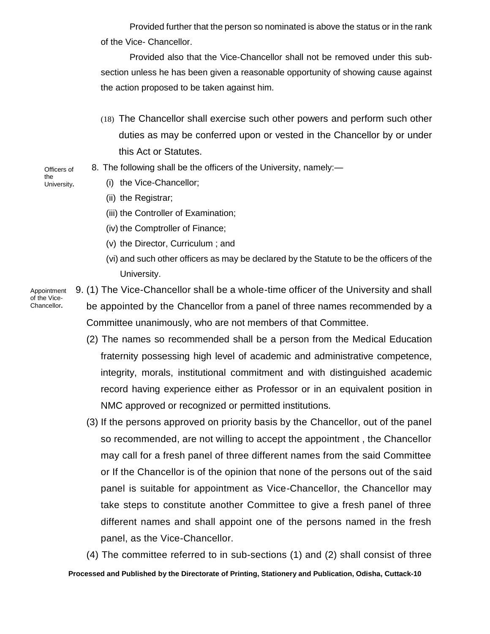Provided further that the person so nominated is above the status or in the rank of the Vice- Chancellor.

Provided also that the Vice-Chancellor shall not be removed under this subsection unless he has been given a reasonable opportunity of showing cause against the action proposed to be taken against him.

- (18) The Chancellor shall exercise such other powers and perform such other duties as may be conferred upon or vested in the Chancellor by or under this Act or Statutes.
- 8. The following shall be the officers of the University, namely:—
	- (i) the Vice-Chancellor;
		- (ii) the Registrar;
		- (iii) the Controller of Examination;
		- (iv) the Comptroller of Finance;
		- (v) the Director, Curriculum ; and
		- (vi) and such other officers as may be declared by the Statute to be the officers of the University.

Appointment of the Vice-Chancellor**.**

9. (1) The Vice-Chancellor shall be a whole-time officer of the University and shall be appointed by the Chancellor from a panel of three names recommended by a Committee unanimously, who are not members of that Committee.

- (2) The names so recommended shall be a person from the Medical Education fraternity possessing high level of academic and administrative competence, integrity, morals, institutional commitment and with distinguished academic record having experience either as Professor or in an equivalent position in NMC approved or recognized or permitted institutions.
- (3) If the persons approved on priority basis by the Chancellor, out of the panel so recommended, are not willing to accept the appointment , the Chancellor may call for a fresh panel of three different names from the said Committee or If the Chancellor is of the opinion that none of the persons out of the said panel is suitable for appointment as Vice-Chancellor, the Chancellor may take steps to constitute another Committee to give a fresh panel of three different names and shall appoint one of the persons named in the fresh panel, as the Vice-Chancellor.

**Processed and Published by the Directorate of Printing, Stationery and Publication, Odisha, Cuttack-10** (4) The committee referred to in sub-sections (1) and (2) shall consist of three

Officers of the University**.**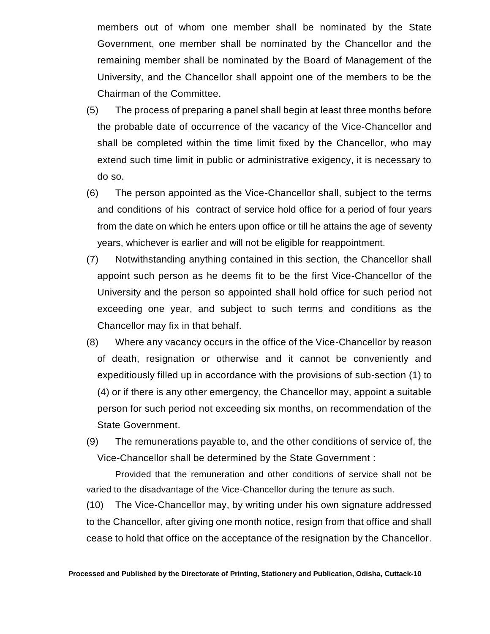members out of whom one member shall be nominated by the State Government, one member shall be nominated by the Chancellor and the remaining member shall be nominated by the Board of Management of the University, and the Chancellor shall appoint one of the members to be the Chairman of the Committee.

- (5) The process of preparing a panel shall begin at least three months before the probable date of occurrence of the vacancy of the Vice-Chancellor and shall be completed within the time limit fixed by the Chancellor, who may extend such time limit in public or administrative exigency, it is necessary to do so.
- (6) The person appointed as the Vice-Chancellor shall, subject to the terms and conditions of his contract of service hold office for a period of four years from the date on which he enters upon office or till he attains the age of seventy years, whichever is earlier and will not be eligible for reappointment.
- (7) Notwithstanding anything contained in this section, the Chancellor shall appoint such person as he deems fit to be the first Vice-Chancellor of the University and the person so appointed shall hold office for such period not exceeding one year, and subject to such terms and conditions as the Chancellor may fix in that behalf.
- (8) Where any vacancy occurs in the office of the Vice-Chancellor by reason of death, resignation or otherwise and it cannot be conveniently and expeditiously filled up in accordance with the provisions of sub-section (1) to (4) or if there is any other emergency, the Chancellor may, appoint a suitable person for such period not exceeding six months, on recommendation of the State Government.
- (9) The remunerations payable to, and the other conditions of service of, the Vice-Chancellor shall be determined by the State Government :

Provided that the remuneration and other conditions of service shall not be varied to the disadvantage of the Vice-Chancellor during the tenure as such.

(10) The Vice-Chancellor may, by writing under his own signature addressed to the Chancellor, after giving one month notice, resign from that office and shall cease to hold that office on the acceptance of the resignation by the Chancellor.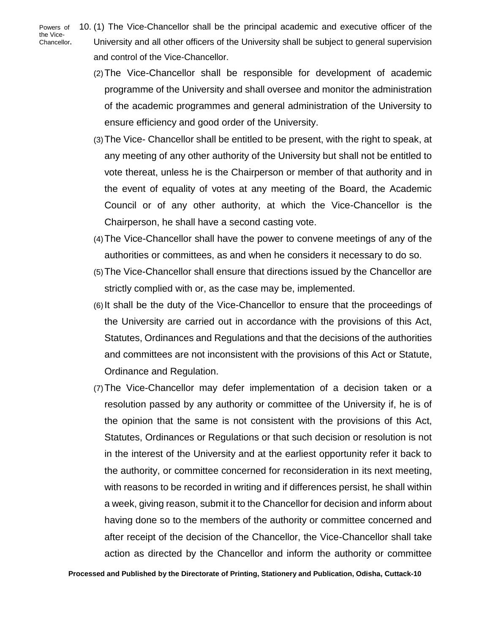Powers of the Vice-Chancellor**.** 10. (1) The Vice-Chancellor shall be the principal academic and executive officer of the University and all other officers of the University shall be subject to general supervision and control of the Vice-Chancellor.

- (2)The Vice-Chancellor shall be responsible for development of academic programme of the University and shall oversee and monitor the administration of the academic programmes and general administration of the University to ensure efficiency and good order of the University.
- (3)The Vice- Chancellor shall be entitled to be present, with the right to speak, at any meeting of any other authority of the University but shall not be entitled to vote thereat, unless he is the Chairperson or member of that authority and in the event of equality of votes at any meeting of the Board, the Academic Council or of any other authority, at which the Vice-Chancellor is the Chairperson, he shall have a second casting vote.
- (4)The Vice-Chancellor shall have the power to convene meetings of any of the authorities or committees, as and when he considers it necessary to do so.
- (5)The Vice-Chancellor shall ensure that directions issued by the Chancellor are strictly complied with or, as the case may be, implemented.
- (6)It shall be the duty of the Vice-Chancellor to ensure that the proceedings of the University are carried out in accordance with the provisions of this Act, Statutes, Ordinances and Regulations and that the decisions of the authorities and committees are not inconsistent with the provisions of this Act or Statute, Ordinance and Regulation.
- (7)The Vice-Chancellor may defer implementation of a decision taken or a resolution passed by any authority or committee of the University if, he is of the opinion that the same is not consistent with the provisions of this Act, Statutes, Ordinances or Regulations or that such decision or resolution is not in the interest of the University and at the earliest opportunity refer it back to the authority, or committee concerned for reconsideration in its next meeting, with reasons to be recorded in writing and if differences persist, he shall within a week, giving reason, submit it to the Chancellor for decision and inform about having done so to the members of the authority or committee concerned and after receipt of the decision of the Chancellor, the Vice-Chancellor shall take action as directed by the Chancellor and inform the authority or committee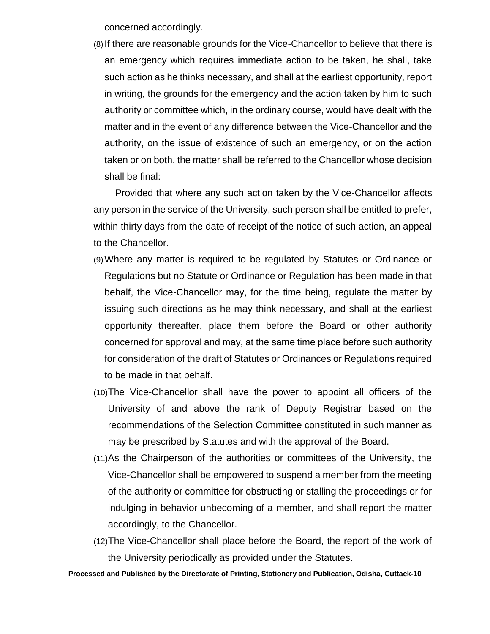concerned accordingly.

(8)If there are reasonable grounds for the Vice-Chancellor to believe that there is an emergency which requires immediate action to be taken, he shall, take such action as he thinks necessary, and shall at the earliest opportunity, report in writing, the grounds for the emergency and the action taken by him to such authority or committee which, in the ordinary course, would have dealt with the matter and in the event of any difference between the Vice-Chancellor and the authority, on the issue of existence of such an emergency, or on the action taken or on both, the matter shall be referred to the Chancellor whose decision shall be final:

Provided that where any such action taken by the Vice-Chancellor affects any person in the service of the University, such person shall be entitled to prefer, within thirty days from the date of receipt of the notice of such action, an appeal to the Chancellor.

- (9)Where any matter is required to be regulated by Statutes or Ordinance or Regulations but no Statute or Ordinance or Regulation has been made in that behalf, the Vice-Chancellor may, for the time being, regulate the matter by issuing such directions as he may think necessary, and shall at the earliest opportunity thereafter, place them before the Board or other authority concerned for approval and may, at the same time place before such authority for consideration of the draft of Statutes or Ordinances or Regulations required to be made in that behalf.
- (10)The Vice-Chancellor shall have the power to appoint all officers of the University of and above the rank of Deputy Registrar based on the recommendations of the Selection Committee constituted in such manner as may be prescribed by Statutes and with the approval of the Board.
- (11)As the Chairperson of the authorities or committees of the University, the Vice-Chancellor shall be empowered to suspend a member from the meeting of the authority or committee for obstructing or stalling the proceedings or for indulging in behavior unbecoming of a member, and shall report the matter accordingly, to the Chancellor.
- (12)The Vice-Chancellor shall place before the Board, the report of the work of the University periodically as provided under the Statutes.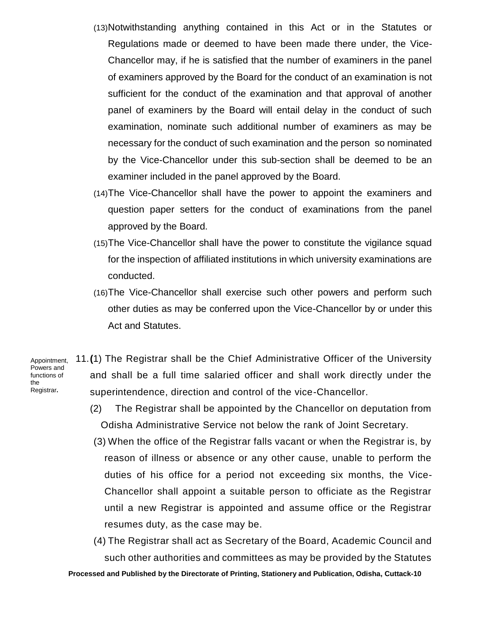- (13)Notwithstanding anything contained in this Act or in the Statutes or Regulations made or deemed to have been made there under, the Vice-Chancellor may, if he is satisfied that the number of examiners in the panel of examiners approved by the Board for the conduct of an examination is not sufficient for the conduct of the examination and that approval of another panel of examiners by the Board will entail delay in the conduct of such examination, nominate such additional number of examiners as may be necessary for the conduct of such examination and the person so nominated by the Vice-Chancellor under this sub-section shall be deemed to be an examiner included in the panel approved by the Board.
- (14)The Vice-Chancellor shall have the power to appoint the examiners and question paper setters for the conduct of examinations from the panel approved by the Board.
- (15)The Vice-Chancellor shall have the power to constitute the vigilance squad for the inspection of affiliated institutions in which university examinations are conducted.
- (16)The Vice-Chancellor shall exercise such other powers and perform such other duties as may be conferred upon the Vice-Chancellor by or under this Act and Statutes.

Appointment, Powers and functions of the Registrar**.**

- 11.**(**1) The Registrar shall be the Chief Administrative Officer of the University and shall be a full time salaried officer and shall work directly under the superintendence, direction and control of the vice-Chancellor.
	- (2) The Registrar shall be appointed by the Chancellor on deputation from Odisha Administrative Service not below the rank of Joint Secretary.
	- (3) When the office of the Registrar falls vacant or when the Registrar is, by reason of illness or absence or any other cause, unable to perform the duties of his office for a period not exceeding six months, the Vice-Chancellor shall appoint a suitable person to officiate as the Registrar until a new Registrar is appointed and assume office or the Registrar resumes duty, as the case may be.
	- (4) The Registrar shall act as Secretary of the Board, Academic Council and such other authorities and committees as may be provided by the Statutes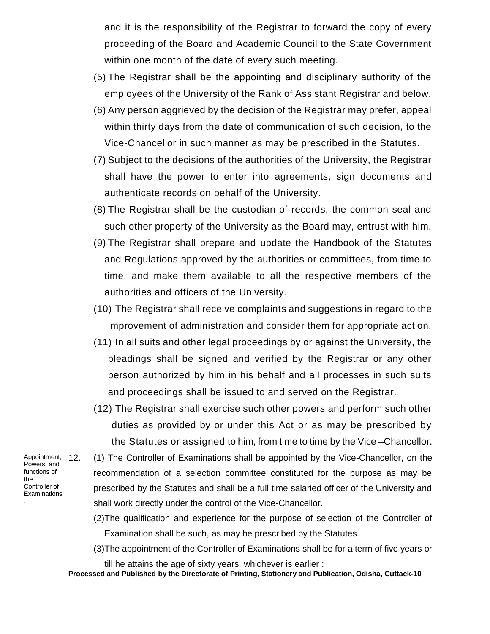and it is the responsibility of the Registrar to forward the copy of every proceeding of the Board and Academic Council to the State Government within one month of the date of every such meeting.

- (5) The Registrar shall be the appointing and disciplinary authority of the employees of the University of the Rank of Assistant Registrar and below.
- (6) Any person aggrieved by the decision of the Registrar may prefer, appeal within thirty days from the date of communication of such decision, to the Vice-Chancellor in such manner as may be prescribed in the Statutes.
- (7) Subject to the decisions of the authorities of the University, the Registrar shall have the power to enter into agreements, sign documents and authenticate records on behalf of the University.
- (8) The Registrar shall be the custodian of records, the common seal and such other property of the University as the Board may, entrust with him.
- (9) The Registrar shall prepare and update the Handbook of the Statutes and Regulations approved by the authorities or committees, from time to time, and make them available to all the respective members of the authorities and officers of the University.
- (10) The Registrar shall receive complaints and suggestions in regard to the improvement of administration and consider them for appropriate action.
- (11) In all suits and other legal proceedings by or against the University, the pleadings shall be signed and verified by the Registrar or any other person authorized by him in his behalf and all processes in such suits and proceedings shall be issued to and served on the Registrar.
- (12) The Registrar shall exercise such other powers and perform such other duties as provided by or under this Act or as may be prescribed by the Statutes or assigned to him, from time to time by the Vice –Chancellor.

Appointment, 12. Powers and functions of the Controller of **Examinations .**

- (1) The Controller of Examinations shall be appointed by the Vice-Chancellor, on the recommendation of a selection committee constituted for the purpose as may be prescribed by the Statutes and shall be a full time salaried officer of the University and shall work directly under the control of the Vice-Chancellor.
	- (2)The qualification and experience for the purpose of selection of the Controller of Examination shall be such, as may be prescribed by the Statutes.
	- (3)The appointment of the Controller of Examinations shall be for a term of five years or

till he attains the age of sixty years, whichever is earlier :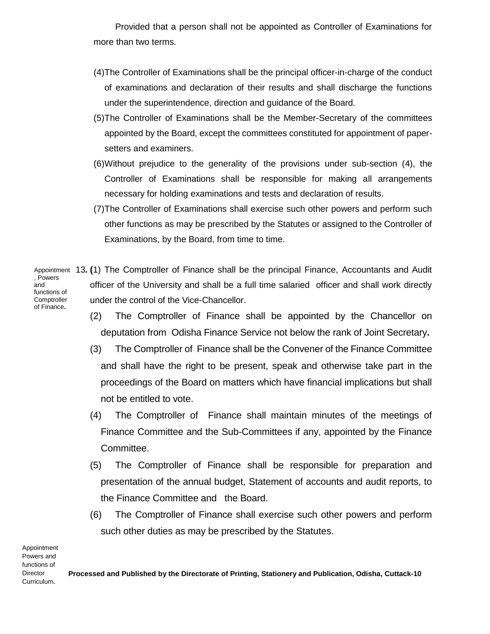Provided that a person shall not be appointed as Controller of Examinations for more than two terms.

- (4)The Controller of Examinations shall be the principal officer-in-charge of the conduct of examinations and declaration of their results and shall discharge the functions under the superintendence, direction and guidance of the Board.
- (5)The Controller of Examinations shall be the Member-Secretary of the committees appointed by the Board, except the committees constituted for appointment of papersetters and examiners.
- (6)Without prejudice to the generality of the provisions under sub-section (4), the Controller of Examinations shall be responsible for making all arrangements necessary for holding examinations and tests and declaration of results.
- (7)The Controller of Examinations shall exercise such other powers and perform such other functions as may be prescribed by the Statutes or assigned to the Controller of Examinations, by the Board, from time to time.
- Appointment 13. (1) The Comptroller of Finance shall be the principal Finance, Accountants and Audit officer of the University and shall be a full time salaried officer and shall work directly under the control of the Vice-Chancellor. , Powers and functions of **Comptroller** 
	- (2) The Comptroller of Finance shall be appointed by the Chancellor on deputation from Odisha Finance Service not below the rank of Joint Secretary**.**
	- (3) The Comptroller of Finance shall be the Convener of the Finance Committee and shall have the right to be present, speak and otherwise take part in the proceedings of the Board on matters which have financial implications but shall not be entitled to vote.
	- (4) The Comptroller of Finance shall maintain minutes of the meetings of Finance Committee and the Sub-Committees if any, appointed by the Finance Committee.
	- (5) The Comptroller of Finance shall be responsible for preparation and presentation of the annual budget, Statement of accounts and audit reports, to the Finance Committee and the Board.
	- (6) The Comptroller of Finance shall exercise such other powers and perform such other duties as may be prescribed by the Statutes.

Appointment Powers and functions of Director Curriculum**.**

**Processed and Published by the Directorate of Printing, Stationery and Publication, Odisha, Cuttack-10**

of Finance**.**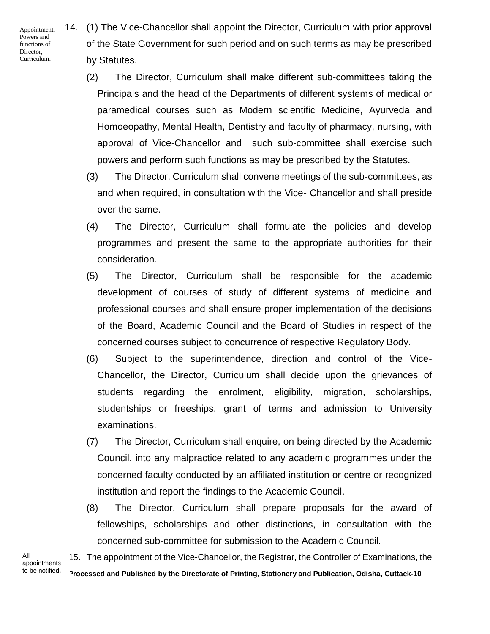Appointment, Powers and functions of Director, Curriculum.

14. (1) The Vice-Chancellor shall appoint the Director, Curriculum with prior approval of the State Government for such period and on such terms as may be prescribed by Statutes.

- (2) The Director, Curriculum shall make different sub-committees taking the Principals and the head of the Departments of different systems of medical or paramedical courses such as Modern scientific Medicine, Ayurveda and Homoeopathy, Mental Health, Dentistry and faculty of pharmacy, nursing, with approval of Vice-Chancellor and such sub-committee shall exercise such powers and perform such functions as may be prescribed by the Statutes.
- (3) The Director, Curriculum shall convene meetings of the sub-committees, as and when required, in consultation with the Vice- Chancellor and shall preside over the same.
- (4) The Director, Curriculum shall formulate the policies and develop programmes and present the same to the appropriate authorities for their consideration.
- (5) The Director, Curriculum shall be responsible for the academic development of courses of study of different systems of medicine and professional courses and shall ensure proper implementation of the decisions of the Board, Academic Council and the Board of Studies in respect of the concerned courses subject to concurrence of respective Regulatory Body.
- (6) Subject to the superintendence, direction and control of the Vice-Chancellor, the Director, Curriculum shall decide upon the grievances of students regarding the enrolment, eligibility, migration, scholarships, studentships or freeships, grant of terms and admission to University examinations.
- (7) The Director, Curriculum shall enquire, on being directed by the Academic Council, into any malpractice related to any academic programmes under the concerned faculty conducted by an affiliated institution or centre or recognized institution and report the findings to the Academic Council.
- (8) The Director, Curriculum shall prepare proposals for the award of fellowships, scholarships and other distinctions, in consultation with the concerned sub-committee for submission to the Academic Council.

All appointments to be notified**.** **Processed and Published by the Directorate of Printing, Stationery and Publication, Odisha, Cuttack-10** 15. The appointment of the Vice-Chancellor, the Registrar, the Controller of Examinations, the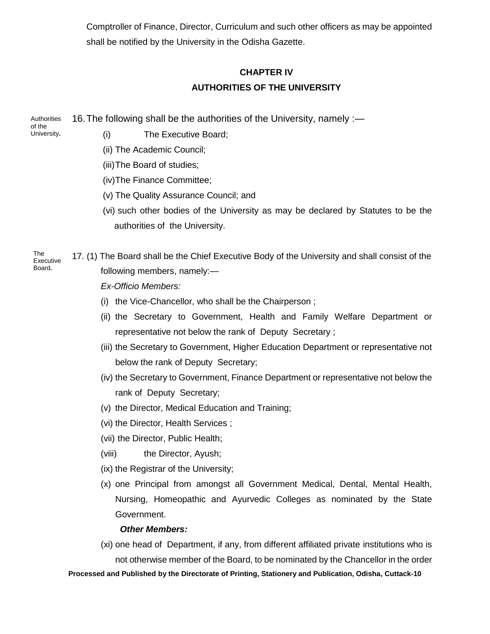Comptroller of Finance, Director, Curriculum and such other officers as may be appointed shall be notified by the University in the Odisha Gazette.

## **CHAPTER IV AUTHORITIES OF THE UNIVERSITY**

16.The following shall be the authorities of the University, namely :— **Authorities** 

of the University**.**

- (i) The Executive Board;
- (ii) The Academic Council;
- (iii)The Board of studies;
- (iv)The Finance Committee;
- (v) The Quality Assurance Council; and
- (vi) such other bodies of the University as may be declared by Statutes to be the authorities of the University.
- 17. (1) The Board shall be the Chief Executive Body of the University and shall consist of the following members, namely:—

*Ex-Officio Members:*

- (i) the Vice-Chancellor, who shall be the Chairperson ;
- (ii) the Secretary to Government, Health and Family Welfare Department or representative not below the rank of Deputy Secretary ;
- (iii) the Secretary to Government, Higher Education Department or representative not below the rank of Deputy Secretary;
- (iv) the Secretary to Government, Finance Department or representative not below the rank of Deputy Secretary;
- (v) the Director, Medical Education and Training;
- (vi) the Director, Health Services ;
- (vii) the Director, Public Health;
- (viii) the Director, Ayush;
- (ix) the Registrar of the University;
- (x) one Principal from amongst all Government Medical, Dental, Mental Health, Nursing, Homeopathic and Ayurvedic Colleges as nominated by the State Government.

## *Other Members:*

(xi) one head of Department, if any, from different affiliated private institutions who is not otherwise member of the Board, to be nominated by the Chancellor in the order

**Processed and Published by the Directorate of Printing, Stationery and Publication, Odisha, Cuttack-10**

The Executive Board**.**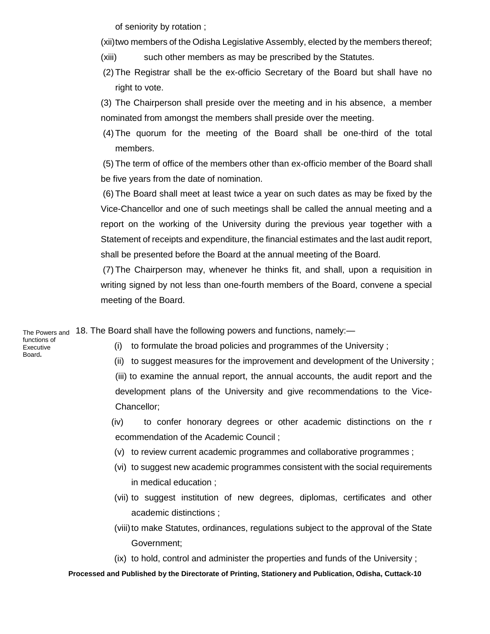of seniority by rotation ;

(xii)two members of the Odisha Legislative Assembly, elected by the members thereof;

- (xiii) such other members as may be prescribed by the Statutes.
- (2) The Registrar shall be the ex-officio Secretary of the Board but shall have no right to vote.

(3) The Chairperson shall preside over the meeting and in his absence, a member nominated from amongst the members shall preside over the meeting.

(4) The quorum for the meeting of the Board shall be one-third of the total members.

(5) The term of office of the members other than ex-officio member of the Board shall be five years from the date of nomination.

(6) The Board shall meet at least twice a year on such dates as may be fixed by the Vice-Chancellor and one of such meetings shall be called the annual meeting and a report on the working of the University during the previous year together with a Statement of receipts and expenditure, the financial estimates and the last audit report, shall be presented before the Board at the annual meeting of the Board.

(7) The Chairperson may, whenever he thinks fit, and shall, upon a requisition in writing signed by not less than one-fourth members of the Board, convene a special meeting of the Board.

<sub>The Powers and</sub> 18. The Board shall have the following powers and functions, namely:—

functions of Executive Board**.**

- (i) to formulate the broad policies and programmes of the University ;
- (ii) to suggest measures for the improvement and development of the University ;

(iii) to examine the annual report, the annual accounts, the audit report and the development plans of the University and give recommendations to the Vice-Chancellor;

(iv) to confer honorary degrees or other academic distinctions on the r ecommendation of the Academic Council ;

- (v) to review current academic programmes and collaborative programmes ;
- (vi) to suggest new academic programmes consistent with the social requirements in medical education ;
- (vii) to suggest institution of new degrees, diplomas, certificates and other academic distinctions ;
- (viii) to make Statutes, ordinances, regulations subject to the approval of the State Government;
- (ix) to hold, control and administer the properties and funds of the University ;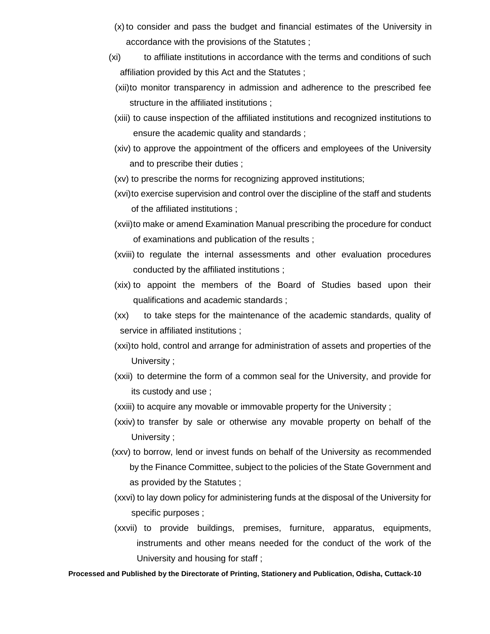- (x) to consider and pass the budget and financial estimates of the University in accordance with the provisions of the Statutes ;
- (xi) to affiliate institutions in accordance with the terms and conditions of such affiliation provided by this Act and the Statutes ;
	- (xii)to monitor transparency in admission and adherence to the prescribed fee structure in the affiliated institutions ;
	- (xiii) to cause inspection of the affiliated institutions and recognized institutions to ensure the academic quality and standards ;
	- (xiv) to approve the appointment of the officers and employees of the University and to prescribe their duties ;
	- (xv) to prescribe the norms for recognizing approved institutions;
- (xvi)to exercise supervision and control over the discipline of the staff and students of the affiliated institutions ;
- (xvii)to make or amend Examination Manual prescribing the procedure for conduct of examinations and publication of the results ;
- (xviii) to regulate the internal assessments and other evaluation procedures conducted by the affiliated institutions ;
- (xix) to appoint the members of the Board of Studies based upon their qualifications and academic standards ;
- (xx) to take steps for the maintenance of the academic standards, quality of service in affiliated institutions ;
- (xxi)to hold, control and arrange for administration of assets and properties of the University ;
- (xxii) to determine the form of a common seal for the University, and provide for its custody and use ;
- (xxiii) to acquire any movable or immovable property for the University ;
- (xxiv) to transfer by sale or otherwise any movable property on behalf of the University ;
- (xxv) to borrow, lend or invest funds on behalf of the University as recommended by the Finance Committee, subject to the policies of the State Government and as provided by the Statutes ;
- (xxvi) to lay down policy for administering funds at the disposal of the University for specific purposes ;
- (xxvii) to provide buildings, premises, furniture, apparatus, equipments, instruments and other means needed for the conduct of the work of the University and housing for staff ;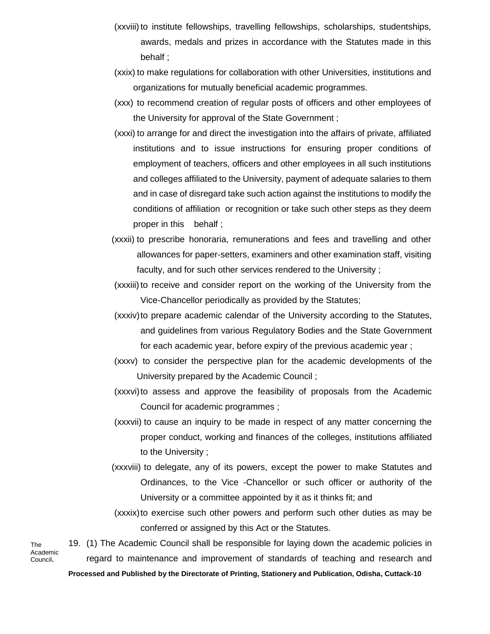- (xxviii) to institute fellowships, travelling fellowships, scholarships, studentships, awards, medals and prizes in accordance with the Statutes made in this behalf ;
- (xxix) to make regulations for collaboration with other Universities, institutions and organizations for mutually beneficial academic programmes.
- (xxx) to recommend creation of regular posts of officers and other employees of the University for approval of the State Government ;
- (xxxi) to arrange for and direct the investigation into the affairs of private, affiliated institutions and to issue instructions for ensuring proper conditions of employment of teachers, officers and other employees in all such institutions and colleges affiliated to the University, payment of adequate salaries to them and in case of disregard take such action against the institutions to modify the conditions of affiliation or recognition or take such other steps as they deem proper in this behalf ;
- (xxxii) to prescribe honoraria, remunerations and fees and travelling and other allowances for paper-setters, examiners and other examination staff, visiting faculty, and for such other services rendered to the University ;
- (xxxiii)to receive and consider report on the working of the University from the Vice-Chancellor periodically as provided by the Statutes;
- (xxxiv)to prepare academic calendar of the University according to the Statutes, and guidelines from various Regulatory Bodies and the State Government for each academic year, before expiry of the previous academic year ;
- (xxxv) to consider the perspective plan for the academic developments of the University prepared by the Academic Council ;
- (xxxvi)to assess and approve the feasibility of proposals from the Academic Council for academic programmes ;
- (xxxvii) to cause an inquiry to be made in respect of any matter concerning the proper conduct, working and finances of the colleges, institutions affiliated to the University ;
- (xxxviii) to delegate, any of its powers, except the power to make Statutes and Ordinances, to the Vice -Chancellor or such officer or authority of the University or a committee appointed by it as it thinks fit; and
- (xxxix)to exercise such other powers and perform such other duties as may be conferred or assigned by this Act or the Statutes.

**Processed and Published by the Directorate of Printing, Stationery and Publication, Odisha, Cuttack-10** 19. (1) The Academic Council shall be responsible for laying down the academic policies in regard to maintenance and improvement of standards of teaching and research and The Academic Council**.**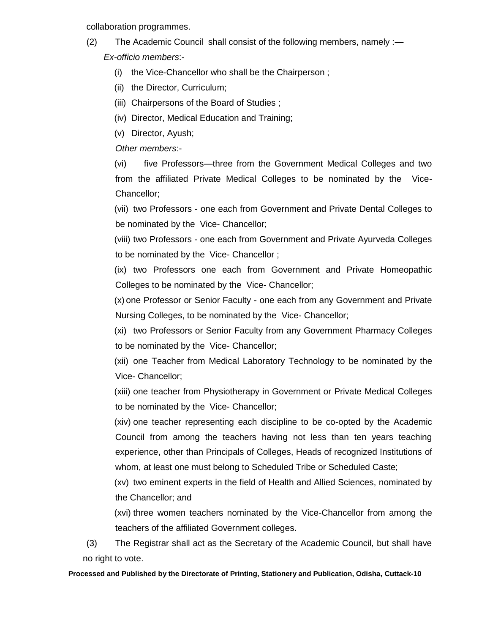collaboration programmes.

- (2) The Academic Council shall consist of the following members, namely :— *Ex-officio members*:-
	- (i) the Vice-Chancellor who shall be the Chairperson ;
	- (ii) the Director, Curriculum;
	- (iii) Chairpersons of the Board of Studies ;
	- (iv) Director, Medical Education and Training;
	- (v) Director, Ayush;

*Other members*:-

(vi) five Professors—three from the Government Medical Colleges and two from the affiliated Private Medical Colleges to be nominated by the Vice-Chancellor;

(vii) two Professors - one each from Government and Private Dental Colleges to be nominated by the Vice- Chancellor;

(viii) two Professors - one each from Government and Private Ayurveda Colleges to be nominated by the Vice- Chancellor ;

(ix) two Professors one each from Government and Private Homeopathic Colleges to be nominated by the Vice- Chancellor;

(x) one Professor or Senior Faculty - one each from any Government and Private Nursing Colleges, to be nominated by the Vice- Chancellor;

(xi) two Professors or Senior Faculty from any Government Pharmacy Colleges to be nominated by the Vice- Chancellor;

(xii) one Teacher from Medical Laboratory Technology to be nominated by the Vice- Chancellor;

(xiii) one teacher from Physiotherapy in Government or Private Medical Colleges to be nominated by the Vice- Chancellor;

(xiv) one teacher representing each discipline to be co-opted by the Academic Council from among the teachers having not less than ten years teaching experience, other than Principals of Colleges, Heads of recognized Institutions of whom, at least one must belong to Scheduled Tribe or Scheduled Caste;

(xv) two eminent experts in the field of Health and Allied Sciences, nominated by the Chancellor; and

(xvi) three women teachers nominated by the Vice-Chancellor from among the teachers of the affiliated Government colleges.

(3) The Registrar shall act as the Secretary of the Academic Council, but shall have no right to vote.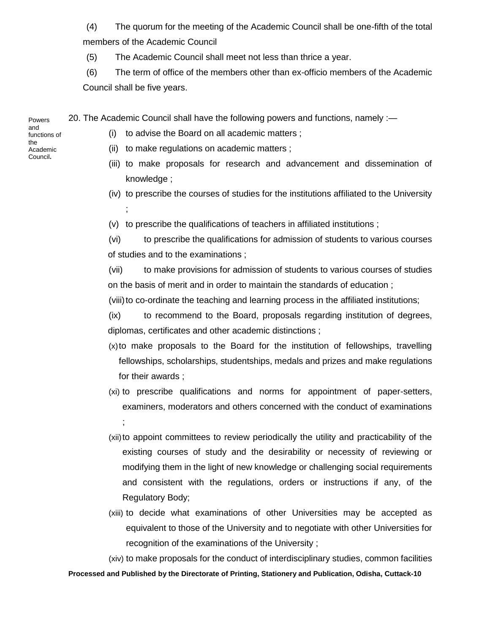(4) The quorum for the meeting of the Academic Council shall be one-fifth of the total members of the Academic Council

(5) The Academic Council shall meet not less than thrice a year.

(6) The term of office of the members other than ex-officio members of the Academic Council shall be five years.

20. The Academic Council shall have the following powers and functions, namely :—

(i) to advise the Board on all academic matters ;

- (ii) to make regulations on academic matters ;
- (iii) to make proposals for research and advancement and dissemination of knowledge ;
- (iv) to prescribe the courses of studies for the institutions affiliated to the University ;
- (v) to prescribe the qualifications of teachers in affiliated institutions ;

(vi) to prescribe the qualifications for admission of students to various courses of studies and to the examinations ;

(vii) to make provisions for admission of students to various courses of studies on the basis of merit and in order to maintain the standards of education ;

(viii) to co-ordinate the teaching and learning process in the affiliated institutions;

(ix) to recommend to the Board, proposals regarding institution of degrees, diplomas, certificates and other academic distinctions ;

- (x)to make proposals to the Board for the institution of fellowships, travelling fellowships, scholarships, studentships, medals and prizes and make regulations for their awards ;
- (xi) to prescribe qualifications and norms for appointment of paper-setters, examiners, moderators and others concerned with the conduct of examinations ;
- (xii)to appoint committees to review periodically the utility and practicability of the existing courses of study and the desirability or necessity of reviewing or modifying them in the light of new knowledge or challenging social requirements and consistent with the regulations, orders or instructions if any, of the Regulatory Body;
- (xiii) to decide what examinations of other Universities may be accepted as equivalent to those of the University and to negotiate with other Universities for recognition of the examinations of the University ;

**Processed and Published by the Directorate of Printing, Stationery and Publication, Odisha, Cuttack-10** (xiv) to make proposals for the conduct of interdisciplinary studies, common facilities

Powers and functions of the Academic Council**.**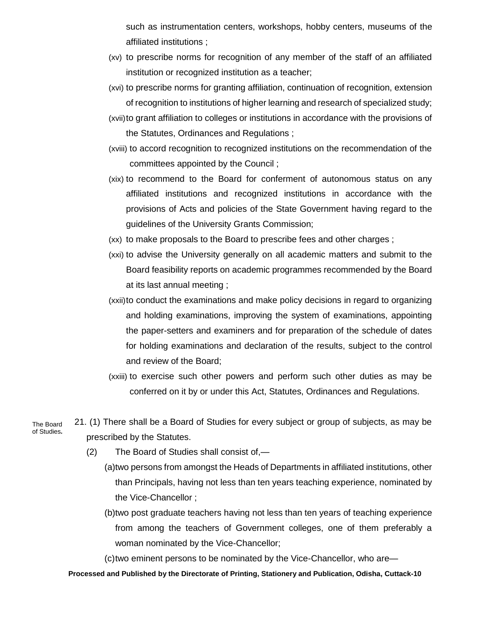such as instrumentation centers, workshops, hobby centers, museums of the affiliated institutions ;

- (xv) to prescribe norms for recognition of any member of the staff of an affiliated institution or recognized institution as a teacher;
- (xvi) to prescribe norms for granting affiliation, continuation of recognition, extension of recognition to institutions of higher learning and research of specialized study;
- (xvii)to grant affiliation to colleges or institutions in accordance with the provisions of the Statutes, Ordinances and Regulations ;
- (xviii) to accord recognition to recognized institutions on the recommendation of the committees appointed by the Council ;
- (xix) to recommend to the Board for conferment of autonomous status on any affiliated institutions and recognized institutions in accordance with the provisions of Acts and policies of the State Government having regard to the guidelines of the University Grants Commission;
- (xx) to make proposals to the Board to prescribe fees and other charges ;
- (xxi) to advise the University generally on all academic matters and submit to the Board feasibility reports on academic programmes recommended by the Board at its last annual meeting ;
- (xxii)to conduct the examinations and make policy decisions in regard to organizing and holding examinations, improving the system of examinations, appointing the paper-setters and examiners and for preparation of the schedule of dates for holding examinations and declaration of the results, subject to the control and review of the Board;
- (xxiii) to exercise such other powers and perform such other duties as may be conferred on it by or under this Act, Statutes, Ordinances and Regulations.
- 21. (1) There shall be a Board of Studies for every subject or group of subjects, as may be prescribed by the Statutes.
	- (2) The Board of Studies shall consist of,—
		- (a)two persons from amongst the Heads of Departments in affiliated institutions, other than Principals, having not less than ten years teaching experience, nominated by the Vice-Chancellor ;
			- (b)two post graduate teachers having not less than ten years of teaching experience from among the teachers of Government colleges, one of them preferably a woman nominated by the Vice-Chancellor;
			- (c)two eminent persons to be nominated by the Vice-Chancellor, who are—

### **Processed and Published by the Directorate of Printing, Stationery and Publication, Odisha, Cuttack-10**

The Board of Studies**.**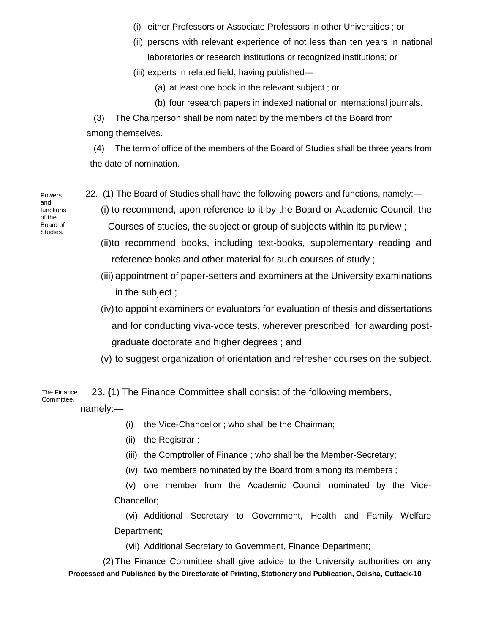- (i) either Professors or Associate Professors in other Universities ; or
- (ii) persons with relevant experience of not less than ten years in national laboratories or research institutions or recognized institutions; or
- (iii) experts in related field, having published—
	- (a) at least one book in the relevant subject ; or
	- (b) four research papers in indexed national or international journals.

(3) The Chairperson shall be nominated by the members of the Board from among themselves.

(4) The term of office of the members of the Board of Studies shall be three years from the date of nomination.

- Powers and functions of the Board of Studies**.**
- 22. (1) The Board of Studies shall have the following powers and functions, namely:—
	- (i) to recommend, upon reference to it by the Board or Academic Council, the Courses of studies, the subject or group of subjects within its purview ;
	- (ii)to recommend books, including text-books, supplementary reading and reference books and other material for such courses of study ;
	- (iii) appointment of paper-setters and examiners at the University examinations in the subject ;
	- (iv) to appoint examiners or evaluators for evaluation of thesis and dissertations and for conducting viva-voce tests, wherever prescribed, for awarding postgraduate doctorate and higher degrees ; and
	- (v) to suggest organization of orientation and refresher courses on the subject.

23**. (**1) The Finance Committee shall consist of the following members, The Finance Committee**.**

namely:—

- (i) the Vice-Chancellor ; who shall be the Chairman;
- (ii) the Registrar ;
- (iii) the Comptroller of Finance ; who shall be the Member-Secretary;
- (iv) two members nominated by the Board from among its members ;

(v) one member from the Academic Council nominated by the Vice-Chancellor;

(vi) Additional Secretary to Government, Health and Family Welfare Department;

(vii) Additional Secretary to Government, Finance Department;

**Processed and Published by the Directorate of Printing, Stationery and Publication, Odisha, Cuttack-10** (2) The Finance Committee shall give advice to the University authorities on any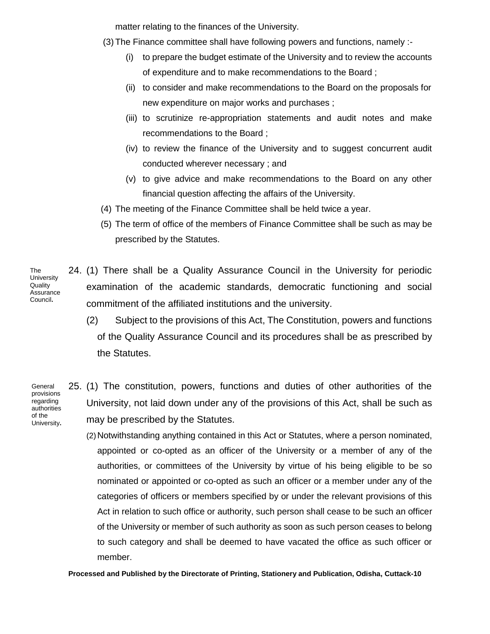matter relating to the finances of the University.

- (3) The Finance committee shall have following powers and functions, namely :-
	- (i) to prepare the budget estimate of the University and to review the accounts of expenditure and to make recommendations to the Board ;
	- (ii) to consider and make recommendations to the Board on the proposals for new expenditure on major works and purchases ;
	- (iii) to scrutinize re-appropriation statements and audit notes and make recommendations to the Board ;
	- (iv) to review the finance of the University and to suggest concurrent audit conducted wherever necessary ; and
	- (v) to give advice and make recommendations to the Board on any other financial question affecting the affairs of the University.
- (4) The meeting of the Finance Committee shall be held twice a year.
- (5) The term of office of the members of Finance Committee shall be such as may be prescribed by the Statutes.
- 24. (1) There shall be a Quality Assurance Council in the University for periodic examination of the academic standards, democratic functioning and social commitment of the affiliated institutions and the university. **University** Quality **Assurance** Council**.**
	- (2) Subject to the provisions of this Act, The Constitution, powers and functions of the Quality Assurance Council and its procedures shall be as prescribed by the Statutes.

**General** provisions regarding authorities of the University**.**

The

25. (1) The constitution, powers, functions and duties of other authorities of the University, not laid down under any of the provisions of this Act, shall be such as may be prescribed by the Statutes.

(2) Notwithstanding anything contained in this Act or Statutes, where a person nominated, appointed or co-opted as an officer of the University or a member of any of the authorities, or committees of the University by virtue of his being eligible to be so nominated or appointed or co-opted as such an officer or a member under any of the categories of officers or members specified by or under the relevant provisions of this Act in relation to such office or authority, such person shall cease to be such an officer of the University or member of such authority as soon as such person ceases to belong to such category and shall be deemed to have vacated the office as such officer or member.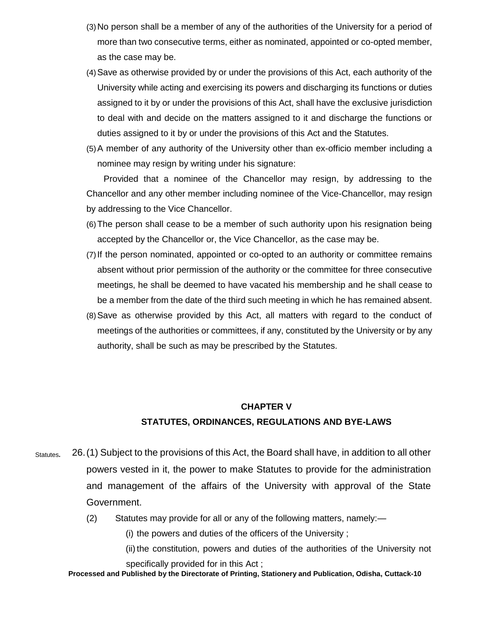- (3)No person shall be a member of any of the authorities of the University for a period of more than two consecutive terms, either as nominated, appointed or co-opted member, as the case may be.
- (4)Save as otherwise provided by or under the provisions of this Act, each authority of the University while acting and exercising its powers and discharging its functions or duties assigned to it by or under the provisions of this Act, shall have the exclusive jurisdiction to deal with and decide on the matters assigned to it and discharge the functions or duties assigned to it by or under the provisions of this Act and the Statutes.
- (5)A member of any authority of the University other than ex-officio member including a nominee may resign by writing under his signature:

Provided that a nominee of the Chancellor may resign, by addressing to the Chancellor and any other member including nominee of the Vice-Chancellor, may resign by addressing to the Vice Chancellor.

- (6)The person shall cease to be a member of such authority upon his resignation being accepted by the Chancellor or, the Vice Chancellor, as the case may be.
- (7)If the person nominated, appointed or co-opted to an authority or committee remains absent without prior permission of the authority or the committee for three consecutive meetings, he shall be deemed to have vacated his membership and he shall cease to be a member from the date of the third such meeting in which he has remained absent.
- (8)Save as otherwise provided by this Act, all matters with regard to the conduct of meetings of the authorities or committees, if any, constituted by the University or by any authority, shall be such as may be prescribed by the Statutes.

### **CHAPTER V**

### **STATUTES, ORDINANCES, REGULATIONS AND BYE-LAWS**

- 26.(1) Subject to the provisions of this Act, the Board shall have, in addition to all other powers vested in it, the power to make Statutes to provide for the administration and management of the affairs of the University with approval of the State Government. Statutes**.**
	- (2) Statutes may provide for all or any of the following matters, namely:—

(i) the powers and duties of the officers of the University ;

(ii) the constitution, powers and duties of the authorities of the University not specifically provided for in this Act ;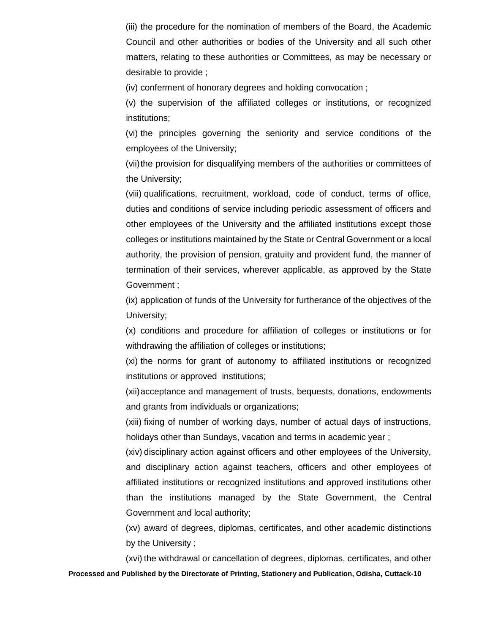(iii) the procedure for the nomination of members of the Board, the Academic Council and other authorities or bodies of the University and all such other matters, relating to these authorities or Committees, as may be necessary or desirable to provide ;

(iv) conferment of honorary degrees and holding convocation ;

(v) the supervision of the affiliated colleges or institutions, or recognized institutions;

(vi) the principles governing the seniority and service conditions of the employees of the University;

(vii)the provision for disqualifying members of the authorities or committees of the University;

(viii) qualifications, recruitment, workload, code of conduct, terms of office, duties and conditions of service including periodic assessment of officers and other employees of the University and the affiliated institutions except those colleges or institutions maintained by the State or Central Government or a local authority, the provision of pension, gratuity and provident fund, the manner of termination of their services, wherever applicable, as approved by the State Government ;

(ix) application of funds of the University for furtherance of the objectives of the University;

(x) conditions and procedure for affiliation of colleges or institutions or for withdrawing the affiliation of colleges or institutions;

(xi) the norms for grant of autonomy to affiliated institutions or recognized institutions or approved institutions;

(xii)acceptance and management of trusts, bequests, donations, endowments and grants from individuals or organizations;

(xiii) fixing of number of working days, number of actual days of instructions, holidays other than Sundays, vacation and terms in academic year ;

(xiv) disciplinary action against officers and other employees of the University, and disciplinary action against teachers, officers and other employees of affiliated institutions or recognized institutions and approved institutions other than the institutions managed by the State Government, the Central Government and local authority;

(xv) award of degrees, diplomas, certificates, and other academic distinctions by the University ;

**Processed and Published by the Directorate of Printing, Stationery and Publication, Odisha, Cuttack-10** (xvi) the withdrawal or cancellation of degrees, diplomas, certificates, and other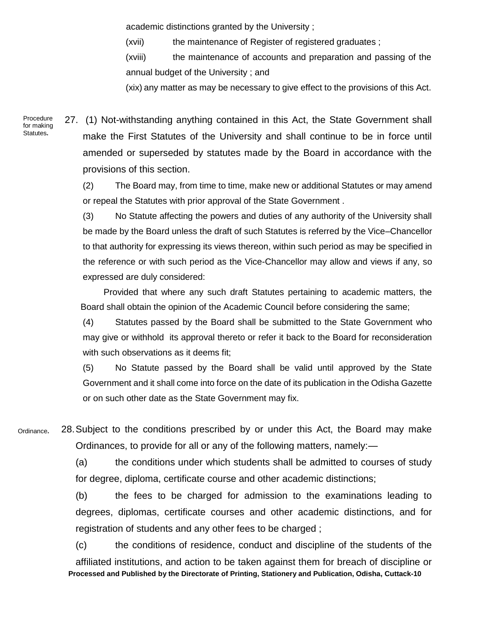academic distinctions granted by the University ;

(xvii) the maintenance of Register of registered graduates ;

(xviii) the maintenance of accounts and preparation and passing of the annual budget of the University ; and

(xix) any matter as may be necessary to give effect to the provisions of this Act.

Procedure for making Statutes**.**

27. (1) Not-withstanding anything contained in this Act, the State Government shall make the First Statutes of the University and shall continue to be in force until amended or superseded by statutes made by the Board in accordance with the provisions of this section.

(2) The Board may, from time to time, make new or additional Statutes or may amend or repeal the Statutes with prior approval of the State Government .

(3) No Statute affecting the powers and duties of any authority of the University shall be made by the Board unless the draft of such Statutes is referred by the Vice–Chancellor to that authority for expressing its views thereon, within such period as may be specified in the reference or with such period as the Vice-Chancellor may allow and views if any, so expressed are duly considered:

Provided that where any such draft Statutes pertaining to academic matters, the Board shall obtain the opinion of the Academic Council before considering the same;

(4) Statutes passed by the Board shall be submitted to the State Government who may give or withhold its approval thereto or refer it back to the Board for reconsideration with such observations as it deems fit;

(5) No Statute passed by the Board shall be valid until approved by the State Government and it shall come into force on the date of its publication in the Odisha Gazette or on such other date as the State Government may fix.

28.Subject to the conditions prescribed by or under this Act, the Board may make Ordinances, to provide for all or any of the following matters, namely:— Ordinance**.**

> (a) the conditions under which students shall be admitted to courses of study for degree, diploma, certificate course and other academic distinctions;

> (b) the fees to be charged for admission to the examinations leading to degrees, diplomas, certificate courses and other academic distinctions, and for registration of students and any other fees to be charged ;

**Processed and Published by the Directorate of Printing, Stationery and Publication, Odisha, Cuttack-10** (c) the conditions of residence, conduct and discipline of the students of the affiliated institutions, and action to be taken against them for breach of discipline or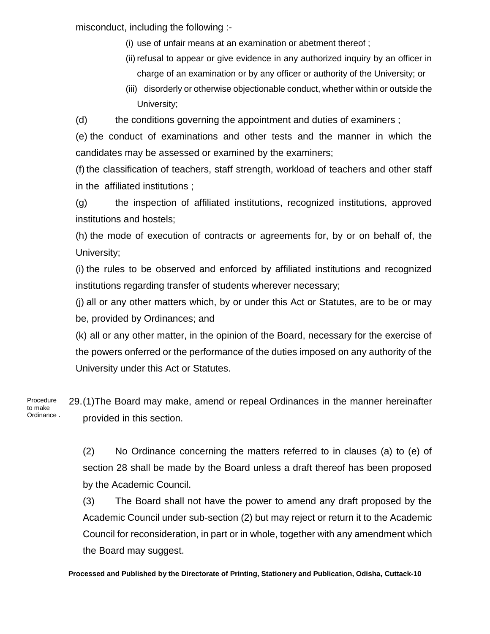misconduct, including the following :-

- (i) use of unfair means at an examination or abetment thereof ;
- (ii) refusal to appear or give evidence in any authorized inquiry by an officer in charge of an examination or by any officer or authority of the University; or
- (iii) disorderly or otherwise objectionable conduct, whether within or outside the University;

(d) the conditions governing the appointment and duties of examiners ;

(e) the conduct of examinations and other tests and the manner in which the candidates may be assessed or examined by the examiners;

(f) the classification of teachers, staff strength, workload of teachers and other staff in the affiliated institutions ;

(g) the inspection of affiliated institutions, recognized institutions, approved institutions and hostels;

(h) the mode of execution of contracts or agreements for, by or on behalf of, the University;

(i) the rules to be observed and enforced by affiliated institutions and recognized institutions regarding transfer of students wherever necessary;

(j) all or any other matters which, by or under this Act or Statutes, are to be or may be, provided by Ordinances; and

(k) all or any other matter, in the opinion of the Board, necessary for the exercise of the powers onferred or the performance of the duties imposed on any authority of the University under this Act or Statutes.

29.(1)The Board may make, amend or repeal Ordinances in the manner hereinafter provided in this section. Procedure to make Ordinance **.**

> (2) No Ordinance concerning the matters referred to in clauses (a) to (e) of section 28 shall be made by the Board unless a draft thereof has been proposed by the Academic Council.

> (3) The Board shall not have the power to amend any draft proposed by the Academic Council under sub-section (2) but may reject or return it to the Academic Council for reconsideration, in part or in whole, together with any amendment which the Board may suggest.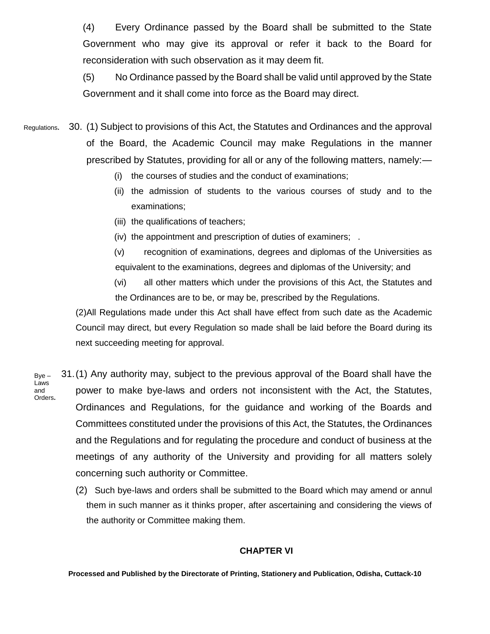(4) Every Ordinance passed by the Board shall be submitted to the State Government who may give its approval or refer it back to the Board for reconsideration with such observation as it may deem fit.

(5) No Ordinance passed by the Board shall be valid until approved by the State Government and it shall come into force as the Board may direct.

30. (1) Subject to provisions of this Act, the Statutes and Ordinances and the approval of the Board, the Academic Council may make Regulations in the manner prescribed by Statutes, providing for all or any of the following matters, namely:— Regulations**.**

- (i) the courses of studies and the conduct of examinations;
- (ii) the admission of students to the various courses of study and to the examinations;
- (iii) the qualifications of teachers;
- (iv) the appointment and prescription of duties of examiners; .

(v) recognition of examinations, degrees and diplomas of the Universities as equivalent to the examinations, degrees and diplomas of the University; and

(vi) all other matters which under the provisions of this Act, the Statutes and the Ordinances are to be, or may be, prescribed by the Regulations.

(2)All Regulations made under this Act shall have effect from such date as the Academic Council may direct, but every Regulation so made shall be laid before the Board during its next succeeding meeting for approval.

- 31.(1) Any authority may, subject to the previous approval of the Board shall have the power to make bye-laws and orders not inconsistent with the Act, the Statutes, Ordinances and Regulations, for the guidance and working of the Boards and Committees constituted under the provisions of this Act, the Statutes, the Ordinances and the Regulations and for regulating the procedure and conduct of business at the meetings of any authority of the University and providing for all matters solely concerning such authority or Committee. Bye – Laws and Orders**.**
	- (2) Such bye-laws and orders shall be submitted to the Board which may amend or annul them in such manner as it thinks proper, after ascertaining and considering the views of the authority or Committee making them.

## **CHAPTER VI**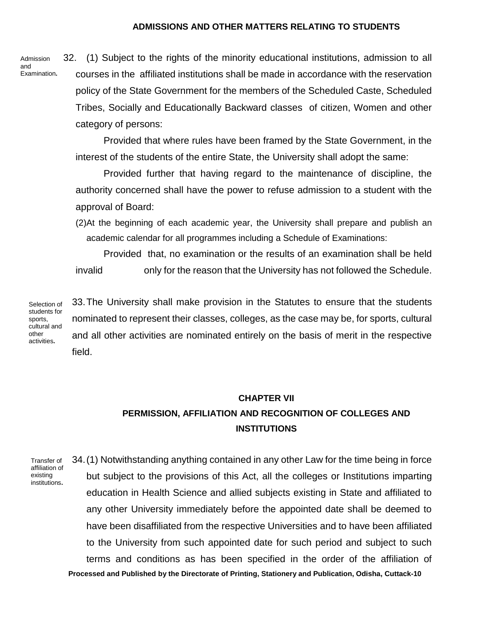### **ADMISSIONS AND OTHER MATTERS RELATING TO STUDENTS**

Admission and Examination**.** 32. (1) Subject to the rights of the minority educational institutions, admission to all courses in the affiliated institutions shall be made in accordance with the reservation policy of the State Government for the members of the Scheduled Caste, Scheduled Tribes, Socially and Educationally Backward classes of citizen, Women and other category of persons:

Provided that where rules have been framed by the State Government, in the interest of the students of the entire State, the University shall adopt the same:

Provided further that having regard to the maintenance of discipline, the authority concerned shall have the power to refuse admission to a student with the approval of Board:

(2)At the beginning of each academic year, the University shall prepare and publish an academic calendar for all programmes including a Schedule of Examinations:

Provided that, no examination or the results of an examination shall be held invalid only for the reason that the University has not followed the Schedule.

33.The University shall make provision in the Statutes to ensure that the students nominated to represent their classes, colleges, as the case may be, for sports, cultural and all other activities are nominated entirely on the basis of merit in the respective field. Selection of students for cultural and activities**.**

# **CHAPTER VII PERMISSION, AFFILIATION AND RECOGNITION OF COLLEGES AND INSTITUTIONS**

Transfer of affiliation of existing institutions**.**

sports,

other

**Processed and Published by the Directorate of Printing, Stationery and Publication, Odisha, Cuttack-10** 34.(1) Notwithstanding anything contained in any other Law for the time being in force but subject to the provisions of this Act, all the colleges or Institutions imparting education in Health Science and allied subjects existing in State and affiliated to any other University immediately before the appointed date shall be deemed to have been disaffiliated from the respective Universities and to have been affiliated to the University from such appointed date for such period and subject to such terms and conditions as has been specified in the order of the affiliation of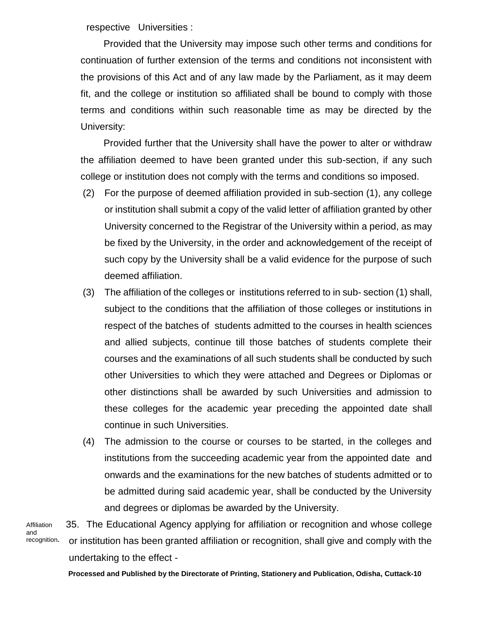respective Universities :

Provided that the University may impose such other terms and conditions for continuation of further extension of the terms and conditions not inconsistent with the provisions of this Act and of any law made by the Parliament, as it may deem fit, and the college or institution so affiliated shall be bound to comply with those terms and conditions within such reasonable time as may be directed by the University:

Provided further that the University shall have the power to alter or withdraw the affiliation deemed to have been granted under this sub-section, if any such college or institution does not comply with the terms and conditions so imposed.

- (2) For the purpose of deemed affiliation provided in sub-section (1), any college or institution shall submit a copy of the valid letter of affiliation granted by other University concerned to the Registrar of the University within a period, as may be fixed by the University, in the order and acknowledgement of the receipt of such copy by the University shall be a valid evidence for the purpose of such deemed affiliation.
- (3) The affiliation of the colleges or institutions referred to in sub- section (1) shall, subject to the conditions that the affiliation of those colleges or institutions in respect of the batches of students admitted to the courses in health sciences and allied subjects, continue till those batches of students complete their courses and the examinations of all such students shall be conducted by such other Universities to which they were attached and Degrees or Diplomas or other distinctions shall be awarded by such Universities and admission to these colleges for the academic year preceding the appointed date shall continue in such Universities.
- (4) The admission to the course or courses to be started, in the colleges and institutions from the succeeding academic year from the appointed date and onwards and the examinations for the new batches of students admitted or to be admitted during said academic year, shall be conducted by the University and degrees or diplomas be awarded by the University.

Affiliation and recognition**.**

35. The Educational Agency applying for affiliation or recognition and whose college or institution has been granted affiliation or recognition, shall give and comply with the undertaking to the effect -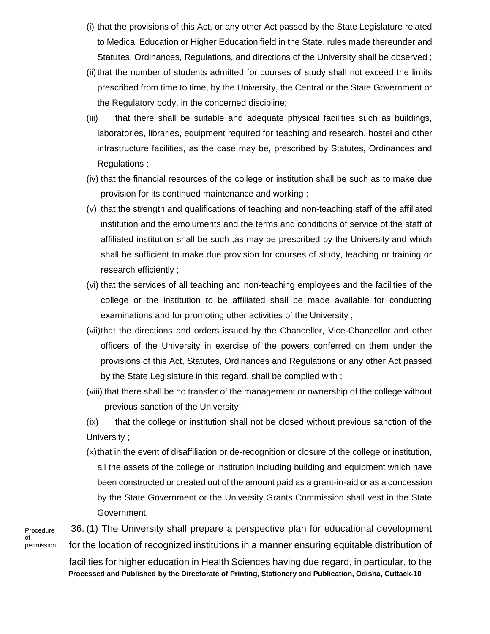- (i) that the provisions of this Act, or any other Act passed by the State Legislature related to Medical Education or Higher Education field in the State, rules made thereunder and Statutes, Ordinances, Regulations, and directions of the University shall be observed ;
- (ii) that the number of students admitted for courses of study shall not exceed the limits prescribed from time to time, by the University, the Central or the State Government or the Regulatory body, in the concerned discipline;
- (iii) that there shall be suitable and adequate physical facilities such as buildings, laboratories, libraries, equipment required for teaching and research, hostel and other infrastructure facilities, as the case may be, prescribed by Statutes, Ordinances and Regulations ;
- (iv) that the financial resources of the college or institution shall be such as to make due provision for its continued maintenance and working ;
- (v) that the strength and qualifications of teaching and non-teaching staff of the affiliated institution and the emoluments and the terms and conditions of service of the staff of affiliated institution shall be such ,as may be prescribed by the University and which shall be sufficient to make due provision for courses of study, teaching or training or research efficiently ;
- (vi) that the services of all teaching and non-teaching employees and the facilities of the college or the institution to be affiliated shall be made available for conducting examinations and for promoting other activities of the University ;
- (vii)that the directions and orders issued by the Chancellor, Vice-Chancellor and other officers of the University in exercise of the powers conferred on them under the provisions of this Act, Statutes, Ordinances and Regulations or any other Act passed by the State Legislature in this regard, shall be complied with ;
- (viii) that there shall be no transfer of the management or ownership of the college without previous sanction of the University ;
- (ix) that the college or institution shall not be closed without previous sanction of the University ;
- (x)that in the event of disaffiliation or de-recognition or closure of the college or institution, all the assets of the college or institution including building and equipment which have been constructed or created out of the amount paid as a grant-in-aid or as a concession by the State Government or the University Grants Commission shall vest in the State Government.

Procedure of permission**.**

**Processed and Published by the Directorate of Printing, Stationery and Publication, Odisha, Cuttack-10** 36. (1) The University shall prepare a perspective plan for educational development for the location of recognized institutions in a manner ensuring equitable distribution of facilities for higher education in Health Sciences having due regard, in particular, to the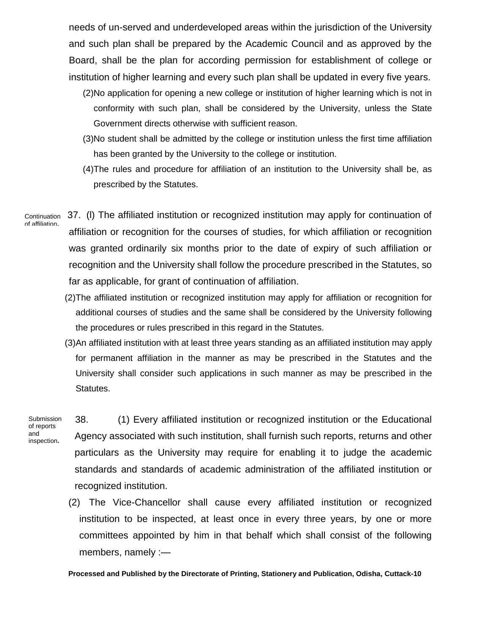needs of un-served and underdeveloped areas within the jurisdiction of the University and such plan shall be prepared by the Academic Council and as approved by the Board, shall be the plan for according permission for establishment of college or institution of higher learning and every such plan shall be updated in every five years.

- (2)No application for opening a new college or institution of higher learning which is not in conformity with such plan, shall be considered by the University, unless the State Government directs otherwise with sufficient reason.
- (3)No student shall be admitted by the college or institution unless the first time affiliation has been granted by the University to the college or institution.
- (4)The rules and procedure for affiliation of an institution to the University shall be, as prescribed by the Statutes.
- 37. (l) The affiliated institution or recognized institution may apply for continuation of affiliation or recognition for the courses of studies, for which affiliation or recognition was granted ordinarily six months prior to the date of expiry of such affiliation or recognition and the University shall follow the procedure prescribed in the Statutes, so far as applicable, for grant of continuation of affiliation. **Continuation** of affiliation**.**
	- (2)The affiliated institution or recognized institution may apply for affiliation or recognition for additional courses of studies and the same shall be considered by the University following the procedures or rules prescribed in this regard in the Statutes.
	- (3)An affiliated institution with at least three years standing as an affiliated institution may apply for permanent affiliation in the manner as may be prescribed in the Statutes and the University shall consider such applications in such manner as may be prescribed in the Statutes.

Submission of reports and inspection**.**

38. (1) Every affiliated institution or recognized institution or the Educational Agency associated with such institution, shall furnish such reports, returns and other particulars as the University may require for enabling it to judge the academic standards and standards of academic administration of the affiliated institution or recognized institution.

(2) The Vice-Chancellor shall cause every affiliated institution or recognized institution to be inspected, at least once in every three years, by one or more committees appointed by him in that behalf which shall consist of the following members, namely :—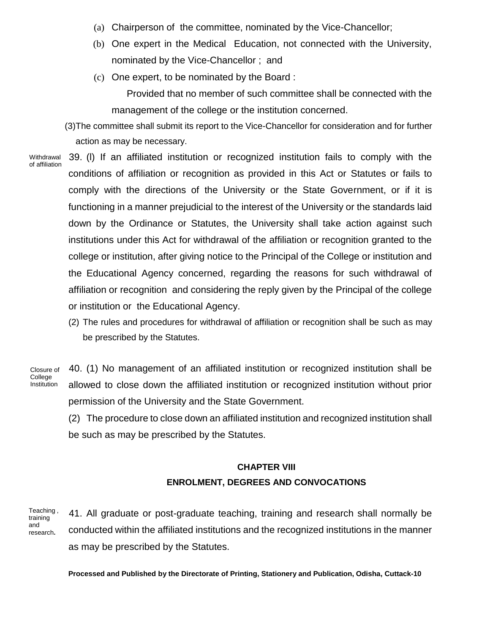- (a) Chairperson of the committee, nominated by the Vice-Chancellor;
- (b) One expert in the Medical Education, not connected with the University, nominated by the Vice-Chancellor ; and
- (c) One expert, to be nominated by the Board :

Provided that no member of such committee shall be connected with the management of the college or the institution concerned.

- (3)The committee shall submit its report to the Vice-Chancellor for consideration and for further action as may be necessary.
- **Withdrawal** of affiliation

39. (l) If an affiliated institution or recognized institution fails to comply with the conditions of affiliation or recognition as provided in this Act or Statutes or fails to comply with the directions of the University or the State Government, or if it is functioning in a manner prejudicial to the interest of the University or the standards laid down by the Ordinance or Statutes, the University shall take action against such institutions under this Act for withdrawal of the affiliation or recognition granted to the college or institution, after giving notice to the Principal of the College or institution and the Educational Agency concerned, regarding the reasons for such withdrawal of affiliation or recognition and considering the reply given by the Principal of the college or institution or the Educational Agency.

(2) The rules and procedures for withdrawal of affiliation or recognition shall be such as may be prescribed by the Statutes.

Closure of College Institution

40. (1) No management of an affiliated institution or recognized institution shall be allowed to close down the affiliated institution or recognized institution without prior permission of the University and the State Government.

(2) The procedure to close down an affiliated institution and recognized institution shall be such as may be prescribed by the Statutes.

# **CHAPTER VIII ENROLMENT, DEGREES AND CONVOCATIONS**

41. All graduate or post-graduate teaching, training and research shall normally be conducted within the affiliated institutions and the recognized institutions in the manner as may be prescribed by the Statutes. Teaching , training and research**.**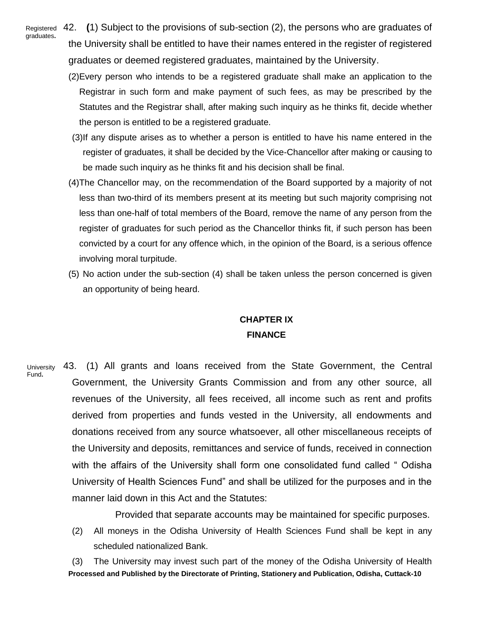Registered graduates**.**

42. **(**1) Subject to the provisions of sub-section (2), the persons who are graduates of the University shall be entitled to have their names entered in the register of registered graduates or deemed registered graduates, maintained by the University.

- (2)Every person who intends to be a registered graduate shall make an application to the Registrar in such form and make payment of such fees, as may be prescribed by the Statutes and the Registrar shall, after making such inquiry as he thinks fit, decide whether the person is entitled to be a registered graduate.
- (3)If any dispute arises as to whether a person is entitled to have his name entered in the register of graduates, it shall be decided by the Vice-Chancellor after making or causing to be made such inquiry as he thinks fit and his decision shall be final.
- (4)The Chancellor may, on the recommendation of the Board supported by a majority of not less than two-third of its members present at its meeting but such majority comprising not less than one-half of total members of the Board, remove the name of any person from the register of graduates for such period as the Chancellor thinks fit, if such person has been convicted by a court for any offence which, in the opinion of the Board, is a serious offence involving moral turpitude.
- (5) No action under the sub-section (4) shall be taken unless the person concerned is given an opportunity of being heard.

# **CHAPTER IX FINANCE**

43. (1) All grants and loans received from the State Government, the Central Government, the University Grants Commission and from any other source, all revenues of the University, all fees received, all income such as rent and profits derived from properties and funds vested in the University, all endowments and donations received from any source whatsoever, all other miscellaneous receipts of the University and deposits, remittances and service of funds, received in connection with the affairs of the University shall form one consolidated fund called " Odisha University of Health Sciences Fund" and shall be utilized for the purposes and in the manner laid down in this Act and the Statutes: University Fund**.**

Provided that separate accounts may be maintained for specific purposes.

- (2) All moneys in the Odisha University of Health Sciences Fund shall be kept in any scheduled nationalized Bank.
- **Processed and Published by the Directorate of Printing, Stationery and Publication, Odisha, Cuttack-10** (3) The University may invest such part of the money of the Odisha University of Health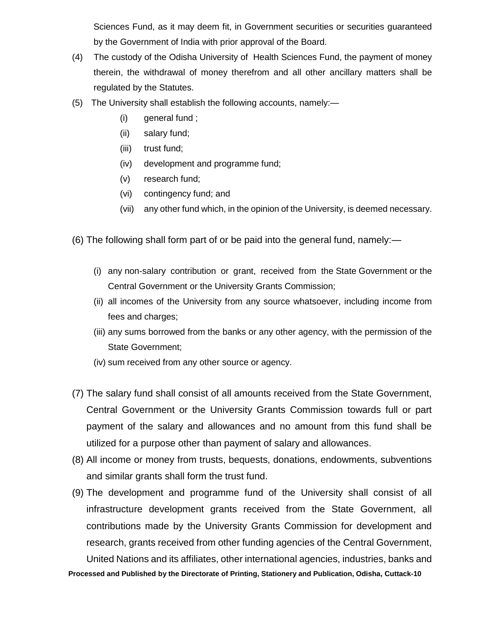Sciences Fund, as it may deem fit, in Government securities or securities guaranteed by the Government of India with prior approval of the Board.

- (4) The custody of the Odisha University of Health Sciences Fund, the payment of money therein, the withdrawal of money therefrom and all other ancillary matters shall be regulated by the Statutes.
- (5) The University shall establish the following accounts, namely:—
	- (i) general fund ;
	- (ii) salary fund;
	- (iii) trust fund;
	- (iv) development and programme fund;
	- (v) research fund;
	- (vi) contingency fund; and
	- (vii) any other fund which, in the opinion of the University, is deemed necessary.
- (6) The following shall form part of or be paid into the general fund, namely:—
	- (i) any non-salary contribution or grant, received from the State Government or the Central Government or the University Grants Commission;
	- (ii) all incomes of the University from any source whatsoever, including income from fees and charges;
	- (iii) any sums borrowed from the banks or any other agency, with the permission of the State Government;
	- (iv) sum received from any other source or agency.
- (7) The salary fund shall consist of all amounts received from the State Government, Central Government or the University Grants Commission towards full or part payment of the salary and allowances and no amount from this fund shall be utilized for a purpose other than payment of salary and allowances.
- (8) All income or money from trusts, bequests, donations, endowments, subventions and similar grants shall form the trust fund.
- (9) The development and programme fund of the University shall consist of all infrastructure development grants received from the State Government, all contributions made by the University Grants Commission for development and research, grants received from other funding agencies of the Central Government, United Nations and its affiliates, other international agencies, industries, banks and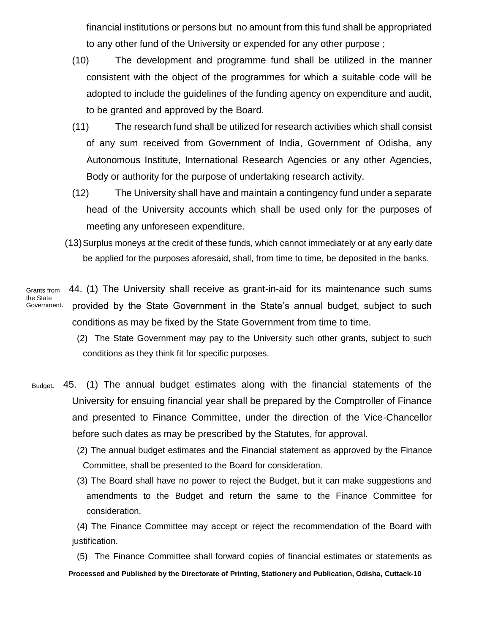financial institutions or persons but no amount from this fund shall be appropriated to any other fund of the University or expended for any other purpose ;

- (10) The development and programme fund shall be utilized in the manner consistent with the object of the programmes for which a suitable code will be adopted to include the guidelines of the funding agency on expenditure and audit, to be granted and approved by the Board.
- (11) The research fund shall be utilized for research activities which shall consist of any sum received from Government of India, Government of Odisha, any Autonomous Institute, International Research Agencies or any other Agencies, Body or authority for the purpose of undertaking research activity.
- (12) The University shall have and maintain a contingency fund under a separate head of the University accounts which shall be used only for the purposes of meeting any unforeseen expenditure.
- (13)Surplus moneys at the credit of these funds, which cannot immediately or at any early date be applied for the purposes aforesaid, shall, from time to time, be deposited in the banks.

44. (1) The University shall receive as grant-in-aid for its maintenance such sums provided by the State Government in the State's annual budget, subject to such conditions as may be fixed by the State Government from time to time. Grants from the State Government**.**

> (2) The State Government may pay to the University such other grants, subject to such conditions as they think fit for specific purposes.

- 45. (1) The annual budget estimates along with the financial statements of the University for ensuing financial year shall be prepared by the Comptroller of Finance and presented to Finance Committee, under the direction of the Vice-Chancellor before such dates as may be prescribed by the Statutes, for approval. Budget**.**
	- (2) The annual budget estimates and the Financial statement as approved by the Finance Committee, shall be presented to the Board for consideration.
	- (3) The Board shall have no power to reject the Budget, but it can make suggestions and amendments to the Budget and return the same to the Finance Committee for consideration.

 (4) The Finance Committee may accept or reject the recommendation of the Board with justification.

**Processed and Published by the Directorate of Printing, Stationery and Publication, Odisha, Cuttack-10** (5) The Finance Committee shall forward copies of financial estimates or statements as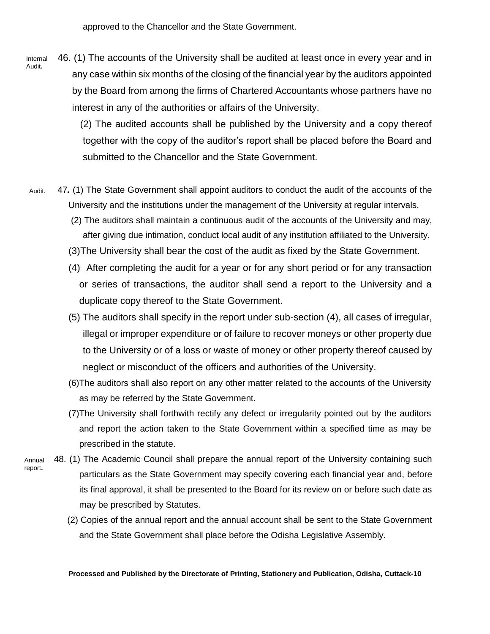approved to the Chancellor and the State Government.

46. (1) The accounts of the University shall be audited at least once in every year and in any case within six months of the closing of the financial year by the auditors appointed by the Board from among the firms of Chartered Accountants whose partners have no interest in any of the authorities or affairs of the University. Internal Audit**.**

> (2) The audited accounts shall be published by the University and a copy thereof together with the copy of the auditor's report shall be placed before the Board and submitted to the Chancellor and the State Government.

- 47*.* (1) The State Government shall appoint auditors to conduct the audit of the accounts of the University and the institutions under the management of the University at regular intervals. Audit.
	- (2) The auditors shall maintain a continuous audit of the accounts of the University and may, after giving due intimation, conduct local audit of any institution affiliated to the University.
	- (3)The University shall bear the cost of the audit as fixed by the State Government.
	- (4) After completing the audit for a year or for any short period or for any transaction or series of transactions, the auditor shall send a report to the University and a duplicate copy thereof to the State Government.
	- (5) The auditors shall specify in the report under sub-section (4), all cases of irregular, illegal or improper expenditure or of failure to recover moneys or other property due to the University or of a loss or waste of money or other property thereof caused by neglect or misconduct of the officers and authorities of the University.
	- (6)The auditors shall also report on any other matter related to the accounts of the University as may be referred by the State Government.
	- (7)The University shall forthwith rectify any defect or irregularity pointed out by the auditors and report the action taken to the State Government within a specified time as may be prescribed in the statute.
- 48. (1) The Academic Council shall prepare the annual report of the University containing such particulars as the State Government may specify covering each financial year and, before its final approval, it shall be presented to the Board for its review on or before such date as may be prescribed by Statutes. Annual report**.**
	- (2) Copies of the annual report and the annual account shall be sent to the State Government and the State Government shall place before the Odisha Legislative Assembly.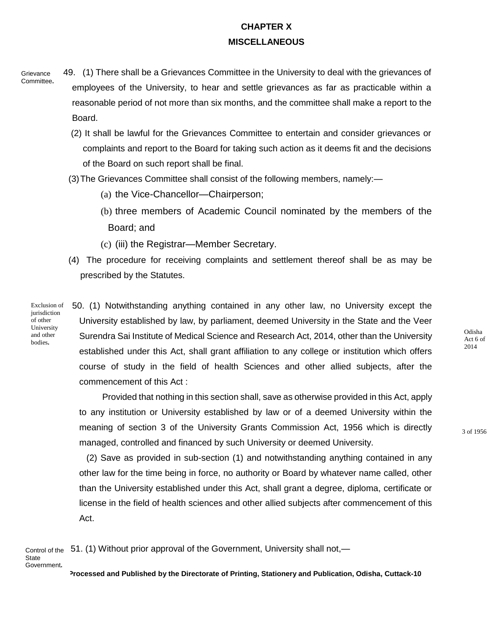## **CHAPTER X MISCELLANEOUS**

- 49. (1) There shall be a Grievances Committee in the University to deal with the grievances of employees of the University, to hear and settle grievances as far as practicable within a reasonable period of not more than six months, and the committee shall make a report to the Board. **Grievance** Committee**.**
	- (2) It shall be lawful for the Grievances Committee to entertain and consider grievances or complaints and report to the Board for taking such action as it deems fit and the decisions of the Board on such report shall be final.
	- (3)The Grievances Committee shall consist of the following members, namely:—
		- (a) the Vice-Chancellor—Chairperson;
		- (b) three members of Academic Council nominated by the members of the Board; and
		- (c) (iii) the Registrar—Member Secretary.
	- (4) The procedure for receiving complaints and settlement thereof shall be as may be prescribed by the Statutes.

Exclusion of jurisdiction of other University and other bodies**.**

 50. (1) Notwithstanding anything contained in any other law, no University except the University established by law, by parliament, deemed University in the State and the Veer Surendra Sai Institute of Medical Science and Research Act, 2014, other than the University established under this Act, shall grant affiliation to any college or institution which offers course of study in the field of health Sciences and other allied subjects, after the commencement of this Act :

Provided that nothing in this section shall, save as otherwise provided in this Act, apply to any institution or University established by law or of a deemed University within the meaning of section 3 of the University Grants Commission Act, 1956 which is directly managed, controlled and financed by such University or deemed University.

(2) Save as provided in sub-section (1) and notwithstanding anything contained in any other law for the time being in force, no authority or Board by whatever name called, other than the University established under this Act, shall grant a degree, diploma, certificate or license in the field of health sciences and other allied subjects after commencement of this Act.

 51. (1) Without prior approval of the Government, University shall not,— Control of the

**State** Government**.**

**Processed and Published by the Directorate of Printing, Stationery and Publication, Odisha, Cuttack-10**

Odisha Act 6 of 2014

3 of 1956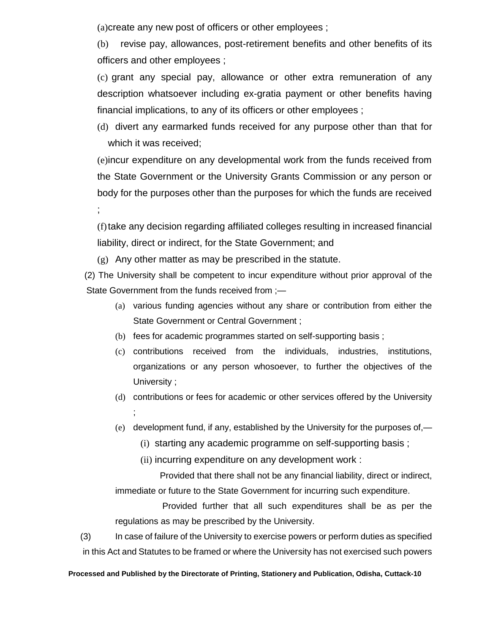(a)create any new post of officers or other employees ;

(b) revise pay, allowances, post-retirement benefits and other benefits of its officers and other employees ;

(c) grant any special pay, allowance or other extra remuneration of any description whatsoever including ex-gratia payment or other benefits having financial implications, to any of its officers or other employees ;

(d) divert any earmarked funds received for any purpose other than that for which it was received;

(e)incur expenditure on any developmental work from the funds received from the State Government or the University Grants Commission or any person or body for the purposes other than the purposes for which the funds are received ;

(f)take any decision regarding affiliated colleges resulting in increased financial liability, direct or indirect, for the State Government; and

(g) Any other matter as may be prescribed in the statute.

 (2) The University shall be competent to incur expenditure without prior approval of the State Government from the funds received from ;—

- (a) various funding agencies without any share or contribution from either the State Government or Central Government ;
- (b) fees for academic programmes started on self-supporting basis ;
- (c) contributions received from the individuals, industries, institutions, organizations or any person whosoever, to further the objectives of the University ;
- (d) contributions or fees for academic or other services offered by the University ;
- (e) development fund, if any, established by the University for the purposes of,—
	- (i) starting any academic programme on self-supporting basis ;
	- (ii) incurring expenditure on any development work :

Provided that there shall not be any financial liability, direct or indirect, immediate or future to the State Government for incurring such expenditure.

Provided further that all such expenditures shall be as per the regulations as may be prescribed by the University.

(3) In case of failure of the University to exercise powers or perform duties as specified in this Act and Statutes to be framed or where the University has not exercised such powers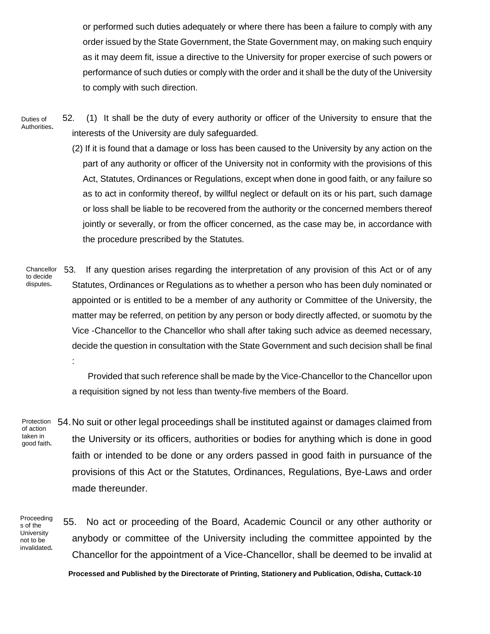or performed such duties adequately or where there has been a failure to comply with any order issued by the State Government, the State Government may, on making such enquiry as it may deem fit, issue a directive to the University for proper exercise of such powers or performance of such duties or comply with the order and it shall be the duty of the University to comply with such direction.

 52. (1) It shall be the duty of every authority or officer of the University to ensure that the interests of the University are duly safeguarded. Duties of Authorities**.**

> (2) If it is found that a damage or loss has been caused to the University by any action on the part of any authority or officer of the University not in conformity with the provisions of this Act, Statutes, Ordinances or Regulations, except when done in good faith, or any failure so as to act in conformity thereof, by willful neglect or default on its or his part, such damage or loss shall be liable to be recovered from the authority or the concerned members thereof jointly or severally, or from the officer concerned, as the case may be, in accordance with the procedure prescribed by the Statutes.

 53. If any question arises regarding the interpretation of any provision of this Act or of any Statutes, Ordinances or Regulations as to whether a person who has been duly nominated or appointed or is entitled to be a member of any authority or Committee of the University, the matter may be referred, on petition by any person or body directly affected, or suomotu by the Vice -Chancellor to the Chancellor who shall after taking such advice as deemed necessary, decide the question in consultation with the State Government and such decision shall be final : Chancellor to decide disputes**.**

> Provided that such reference shall be made by the Vice-Chancellor to the Chancellor upon a requisition signed by not less than twenty-five members of the Board.

Protection of action taken in good faith**.**

54.No suit or other legal proceedings shall be instituted against or damages claimed from the University or its officers, authorities or bodies for anything which is done in good faith or intended to be done or any orders passed in good faith in pursuance of the provisions of this Act or the Statutes, Ordinances, Regulations, Bye-Laws and order made thereunder.

Proceeding s of the University not to be invalidated**.**

55. No act or proceeding of the Board, Academic Council or any other authority or anybody or committee of the University including the committee appointed by the Chancellor for the appointment of a Vice-Chancellor, shall be deemed to be invalid at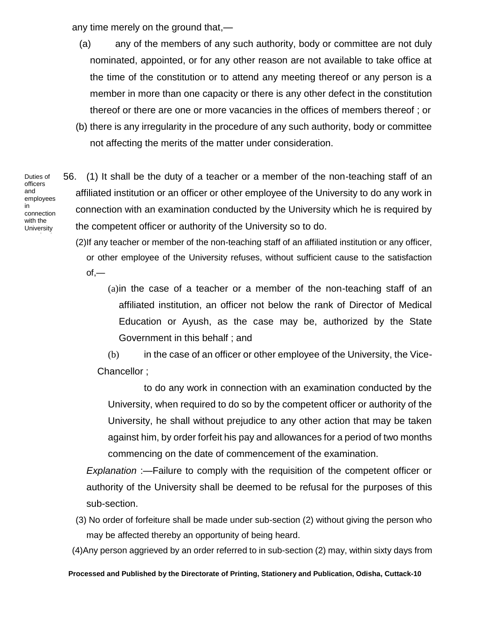any time merely on the ground that,—

- (a) any of the members of any such authority, body or committee are not duly nominated, appointed, or for any other reason are not available to take office at the time of the constitution or to attend any meeting thereof or any person is a member in more than one capacity or there is any other defect in the constitution thereof or there are one or more vacancies in the offices of members thereof ; or
- (b) there is any irregularity in the procedure of any such authority, body or committee not affecting the merits of the matter under consideration.

56. (1) It shall be the duty of a teacher or a member of the non-teaching staff of an affiliated institution or an officer or other employee of the University to do any work in connection with an examination conducted by the University which he is required by the competent officer or authority of the University so to do.

(2)If any teacher or member of the non-teaching staff of an affiliated institution or any officer, or other employee of the University refuses, without sufficient cause to the satisfaction  $of,$ —

(a)in the case of a teacher or a member of the non-teaching staff of an affiliated institution, an officer not below the rank of Director of Medical Education or Ayush, as the case may be, authorized by the State Government in this behalf ; and

(b) in the case of an officer or other employee of the University, the Vice-Chancellor ;

to do any work in connection with an examination conducted by the University, when required to do so by the competent officer or authority of the University, he shall without prejudice to any other action that may be taken against him, by order forfeit his pay and allowances for a period of two months commencing on the date of commencement of the examination.

*Explanation* :—Failure to comply with the requisition of the competent officer or authority of the University shall be deemed to be refusal for the purposes of this sub-section.

- (3) No order of forfeiture shall be made under sub-section (2) without giving the person who may be affected thereby an opportunity of being heard.
- (4)Any person aggrieved by an order referred to in sub-section (2) may, within sixty days from

#### **Processed and Published by the Directorate of Printing, Stationery and Publication, Odisha, Cuttack-10**

Duties of officers and employees in connection with the **University** examinatio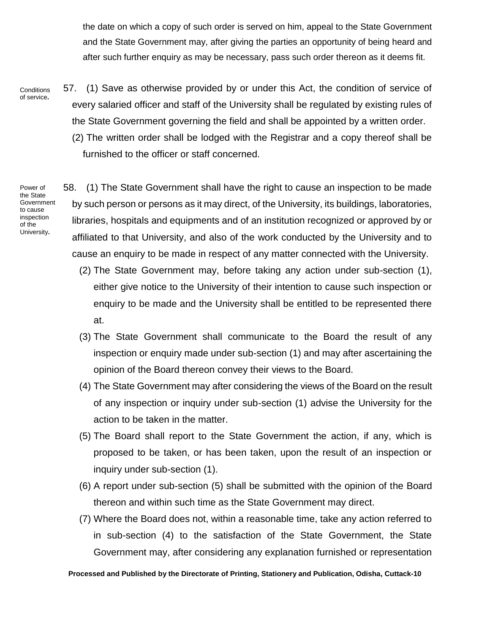the date on which a copy of such order is served on him, appeal to the State Government and the State Government may, after giving the parties an opportunity of being heard and after such further enquiry as may be necessary, pass such order thereon as it deems fit.

57. (1) Save as otherwise provided by or under this Act, the condition of service of every salaried officer and staff of the University shall be regulated by existing rules of the State Government governing the field and shall be appointed by a written order. (2) The written order shall be lodged with the Registrar and a copy thereof shall be furnished to the officer or staff concerned. **Conditions** of service**.**

Power of the State Government to cause inspection of the University**.**

58. (1) The State Government shall have the right to cause an inspection to be made by such person or persons as it may direct, of the University, its buildings, laboratories, libraries, hospitals and equipments and of an institution recognized or approved by or affiliated to that University, and also of the work conducted by the University and to cause an enquiry to be made in respect of any matter connected with the University.

- (2) The State Government may, before taking any action under sub-section (1), either give notice to the University of their intention to cause such inspection or enquiry to be made and the University shall be entitled to be represented there at.
- (3) The State Government shall communicate to the Board the result of any inspection or enquiry made under sub-section (1) and may after ascertaining the opinion of the Board thereon convey their views to the Board.
- (4) The State Government may after considering the views of the Board on the result of any inspection or inquiry under sub-section (1) advise the University for the action to be taken in the matter.
- (5) The Board shall report to the State Government the action, if any, which is proposed to be taken, or has been taken, upon the result of an inspection or inquiry under sub-section (1).
- (6) A report under sub-section (5) shall be submitted with the opinion of the Board thereon and within such time as the State Government may direct.
- (7) Where the Board does not, within a reasonable time, take any action referred to in sub-section (4) to the satisfaction of the State Government, the State Government may, after considering any explanation furnished or representation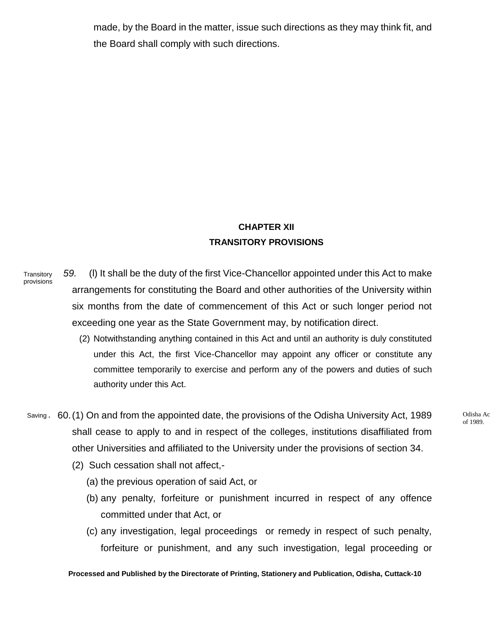made, by the Board in the matter, issue such directions as they may think fit, and the Board shall comply with such directions.

## **CHAPTER XII TRANSITORY PROVISIONS**

- *59.* (l) It shall be the duty of the first Vice-Chancellor appointed under this Act to make arrangements for constituting the Board and other authorities of the University within six months from the date of commencement of this Act or such longer period not exceeding one year as the State Government may, by notification direct. **Transitory** provisions
	- (2) Notwithstanding anything contained in this Act and until an authority is duly constituted under this Act, the first Vice-Chancellor may appoint any officer or constitute any committee temporarily to exercise and perform any of the powers and duties of such authority under this Act.
- Saving **60.(1)** On and from the appointed date, the provisions of the Odisha University Act, 1989 and actional Action shall cease to apply to and in respect of the colleges, institutions disaffiliated from other Universities and affiliated to the University under the provisions of section 34.
	- (2) Such cessation shall not affect,-
		- (a) the previous operation of said Act, or
		- (b) any penalty, forfeiture or punishment incurred in respect of any offence committed under that Act, or
		- (c) any investigation, legal proceedings or remedy in respect of such penalty, forfeiture or punishment, and any such investigation, legal proceeding or

of 1989.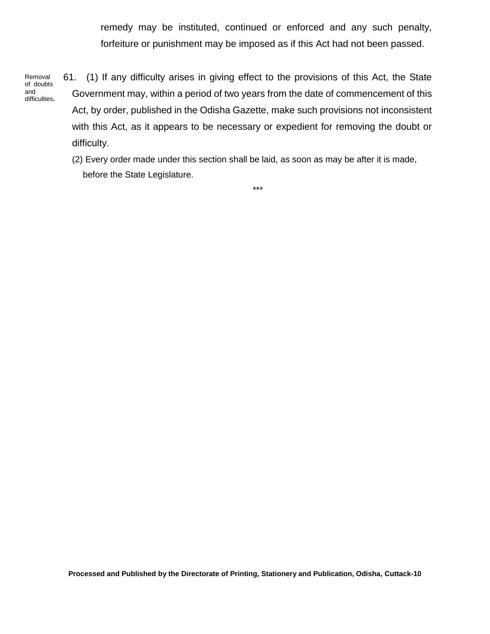remedy may be instituted, continued or enforced and any such penalty, forfeiture or punishment may be imposed as if this Act had not been passed.

Removal of doubts and difficulties**.** 61. (1) If any difficulty arises in giving effect to the provisions of this Act, the State Government may, within a period of two years from the date of commencement of this Act, by order, published in the Odisha Gazette, make such provisions not inconsistent with this Act, as it appears to be necessary or expedient for removing the doubt or difficulty.

(2) Every order made under this section shall be laid, as soon as may be after it is made, before the State Legislature.

\*\*\*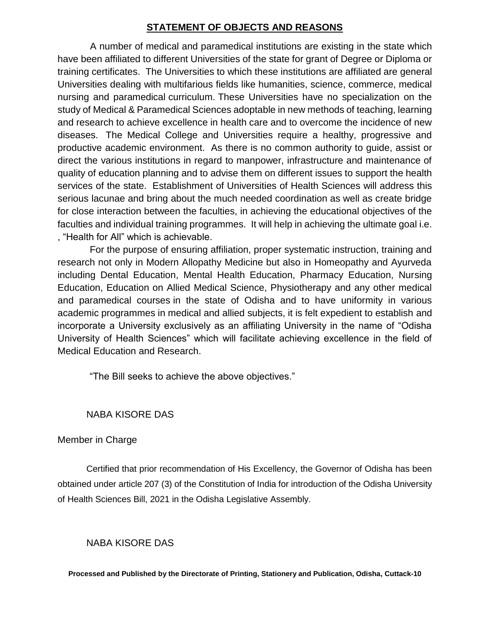## **STATEMENT OF OBJECTS AND REASONS**

A number of medical and paramedical institutions are existing in the state which have been affiliated to different Universities of the state for grant of Degree or Diploma or training certificates. The Universities to which these institutions are affiliated are general Universities dealing with multifarious fields like humanities, science, commerce, medical nursing and paramedical curriculum. These Universities have no specialization on the study of Medical & Paramedical Sciences adoptable in new methods of teaching, learning and research to achieve excellence in health care and to overcome the incidence of new diseases. The Medical College and Universities require a healthy, progressive and productive academic environment. As there is no common authority to guide, assist or direct the various institutions in regard to manpower, infrastructure and maintenance of quality of education planning and to advise them on different issues to support the health services of the state. Establishment of Universities of Health Sciences will address this serious lacunae and bring about the much needed coordination as well as create bridge for close interaction between the faculties, in achieving the educational objectives of the faculties and individual training programmes. It will help in achieving the ultimate goal i.e. , "Health for All" which is achievable.

For the purpose of ensuring affiliation, proper systematic instruction, training and research not only in Modern Allopathy Medicine but also in Homeopathy and Ayurveda including Dental Education, Mental Health Education, Pharmacy Education, Nursing Education, Education on Allied Medical Science, Physiotherapy and any other medical and paramedical courses in the state of Odisha and to have uniformity in various academic programmes in medical and allied subjects, it is felt expedient to establish and incorporate a University exclusively as an affiliating University in the name of "Odisha University of Health Sciences" which will facilitate achieving excellence in the field of Medical Education and Research.

"The Bill seeks to achieve the above objectives."

## NABA KISORE DAS

## Member in Charge

Certified that prior recommendation of His Excellency, the Governor of Odisha has been obtained under article 207 (3) of the Constitution of India for introduction of the Odisha University of Health Sciences Bill, 2021 in the Odisha Legislative Assembly.

## NABA KISORE DAS